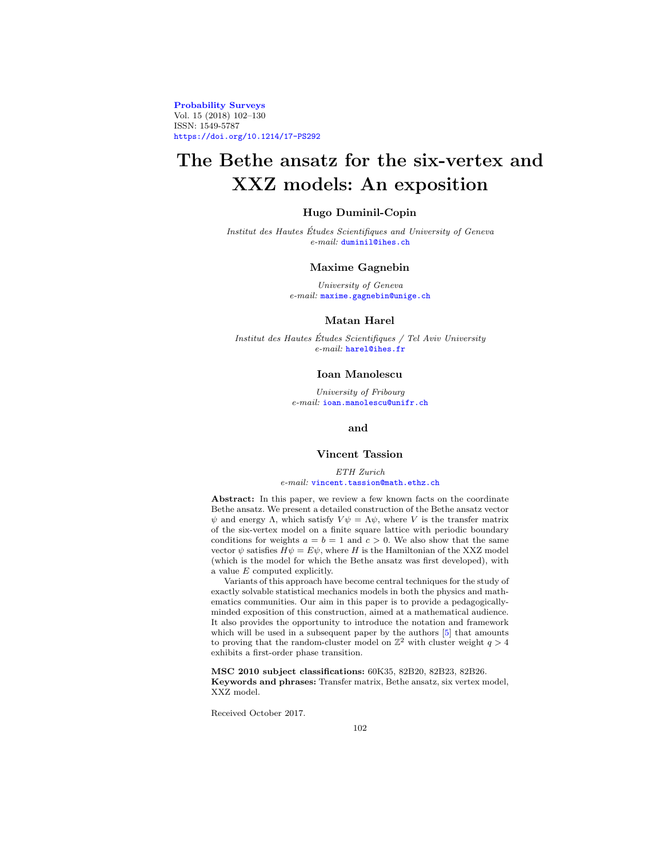**[Probability Surveys](http://www.i-journals.org/ps)** Vol. 15 (2018) 102–130 ISSN: 1549-5787 <https://doi.org/10.1214/17-PS292>

# **The Bethe ansatz for the six-vertex and XXZ models: An exposition**

# **Hugo Duminil-Copin**

Institut des Hautes Etudes Scientifiques and University of Geneva ´ e-mail: [duminil@ihes.ch](mailto:duminil@ihes.ch)

#### **Maxime Gagnebin**

University of Geneva e-mail: [maxime.gagnebin@unige.ch](mailto:maxime.gagnebin@unige.ch)

# **Matan Harel**

Institut des Hautes Etudes Scientifiques / Tel Aviv University ´ e-mail: [harel@ihes.fr](mailto:harel@ihes.fr)

#### **Ioan Manolescu**

University of Fribourg e-mail: [ioan.manolescu@unifr.ch](mailto:ioan.manolescu@unifr.ch)

## **and**

## **Vincent Tassion**

ETH Zurich e-mail: [vincent.tassion@math.ethz.ch](mailto:vincent.tassion@math.ethz.ch)

**Abstract:** In this paper, we review a few known facts on the coordinate Bethe ansatz. We present a detailed construction of the Bethe ansatz vector  $\psi$  and energy Λ, which satisfy  $V\psi = \Lambda \psi$ , where V is the transfer matrix of the six-vertex model on a finite square lattice with periodic boundary conditions for weights  $a = b = 1$  and  $c > 0$ . We also show that the same vector  $\psi$  satisfies  $H\psi=E\psi,$  where  $H$  is the Hamiltonian of the XXZ model (which is the model for which the Bethe ansatz was first developed), with a value E computed explicitly.

Variants of this approach have become central techniques for the study of exactly solvable statistical mechanics models in both the physics and mathematics communities. Our aim in this paper is to provide a pedagogicallyminded exposition of this construction, aimed at a mathematical audience. It also provides the opportunity to introduce the notation and framework which will be used in a subsequent paper by the authors  $[5]$  that amounts to proving that the random-cluster model on  $\mathbb{Z}^2$  with cluster weight  $q > 4$ exhibits a first-order phase transition.

**MSC 2010 subject classifications:** 60K35, 82B20, 82B23, 82B26. **Keywords and phrases:** Transfer matrix, Bethe ansatz, six vertex model, XXZ model.

Received October 2017.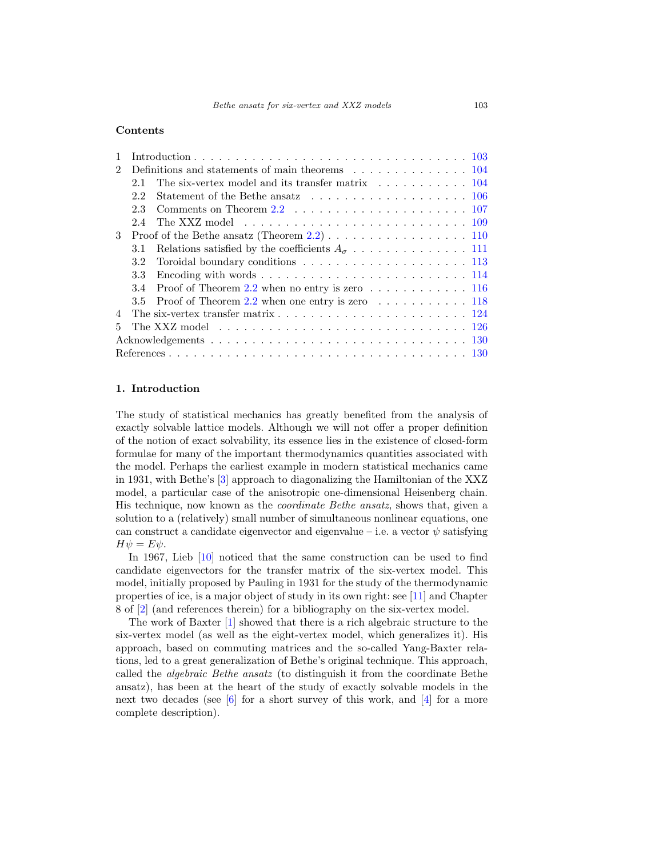# **Contents**

| $\mathcal{D}_{\mathcal{L}}$ |               | Definitions and statements of main theorems 104                                                                    |  |
|-----------------------------|---------------|--------------------------------------------------------------------------------------------------------------------|--|
|                             | 21            |                                                                                                                    |  |
|                             | 22            | Statement of the Bethe ansatz $\ldots \ldots \ldots \ldots \ldots \ldots \ldots 106$                               |  |
|                             | 2.3           |                                                                                                                    |  |
|                             | 2.4           | The XXZ model $\ldots \ldots \ldots \ldots \ldots \ldots \ldots \ldots \ldots 109$                                 |  |
| $\mathcal{S}$               |               | Proof of the Bethe ansatz (Theorem $2.2$ ) 110                                                                     |  |
|                             | 3.1           |                                                                                                                    |  |
|                             | 3.2           |                                                                                                                    |  |
|                             | 3.3           |                                                                                                                    |  |
|                             | 3.4           | Proof of Theorem 2.2 when no entry is zero $\dots \dots \dots \dots \dots \dots 116$                               |  |
|                             | $3.5^{\circ}$ | Proof of Theorem 2.2 when one entry is zero $\dots \dots \dots \dots \dots$ 118                                    |  |
|                             |               | The six-vertex transfer matrix $\dots \dots \dots \dots \dots \dots \dots \dots \dots \dots \dots \dots \dots 124$ |  |
| 5.                          |               |                                                                                                                    |  |
|                             |               |                                                                                                                    |  |
|                             |               |                                                                                                                    |  |

# <span id="page-1-0"></span>**1. Introduction**

The study of statistical mechanics has greatly benefited from the analysis of exactly solvable lattice models. Although we will not offer a proper definition of the notion of exact solvability, its essence lies in the existence of closed-form formulae for many of the important thermodynamics quantities associated with the model. Perhaps the earliest example in modern statistical mechanics came in 1931, with Bethe's [\[3\]](#page-28-3) approach to diagonalizing the Hamiltonian of the XXZ model, a particular case of the anisotropic one-dimensional Heisenberg chain. His technique, now known as the coordinate Bethe ansatz, shows that, given a solution to a (relatively) small number of simultaneous nonlinear equations, one can construct a candidate eigenvector and eigenvalue – i.e. a vector  $\psi$  satisfying  $H\psi = E\psi.$ 

In 1967, Lieb [\[10](#page-28-4)] noticed that the same construction can be used to find candidate eigenvectors for the transfer matrix of the six-vertex model. This model, initially proposed by Pauling in 1931 for the study of the thermodynamic properties of ice, is a major object of study in its own right: see [\[11](#page-28-5)] and Chapter 8 of [\[2](#page-28-6)] (and references therein) for a bibliography on the six-vertex model.

The work of Baxter [\[1](#page-28-7)] showed that there is a rich algebraic structure to the six-vertex model (as well as the eight-vertex model, which generalizes it). His approach, based on commuting matrices and the so-called Yang-Baxter relations, led to a great generalization of Bethe's original technique. This approach, called the algebraic Bethe ansatz (to distinguish it from the coordinate Bethe ansatz), has been at the heart of the study of exactly solvable models in the next two decades (see  $|6|$  for a short survey of this work, and  $|4|$  for a more complete description).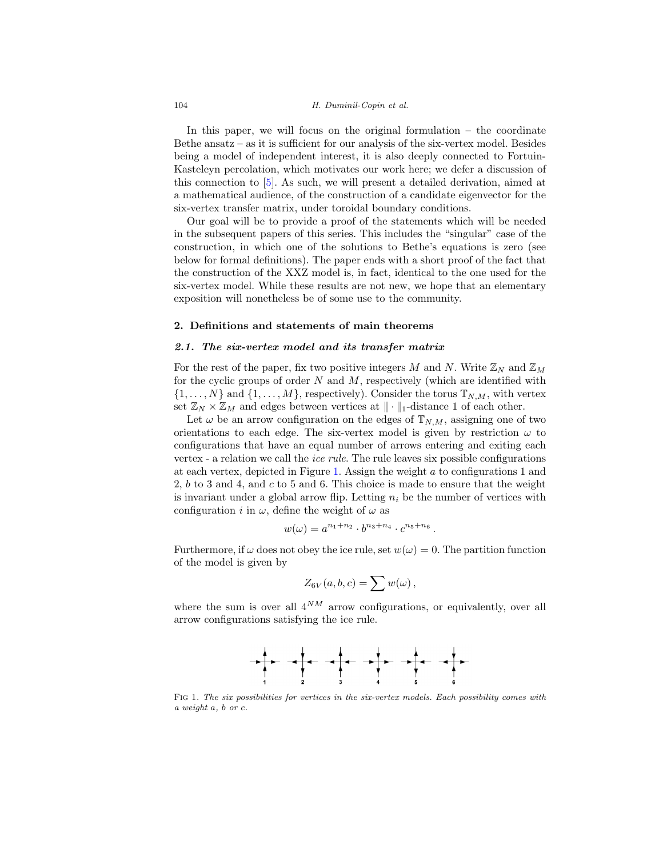#### 104 H. Duminil-Copin et al.

In this paper, we will focus on the original formulation – the coordinate Bethe ansatz – as it is sufficient for our analysis of the six-vertex model. Besides being a model of independent interest, it is also deeply connected to Fortuin-Kasteleyn percolation, which motivates our work here; we defer a discussion of this connection to [\[5\]](#page-28-0). As such, we will present a detailed derivation, aimed at a mathematical audience, of the construction of a candidate eigenvector for the six-vertex transfer matrix, under toroidal boundary conditions.

Our goal will be to provide a proof of the statements which will be needed in the subsequent papers of this series. This includes the "singular" case of the construction, in which one of the solutions to Bethe's equations is zero (see below for formal definitions). The paper ends with a short proof of the fact that the construction of the XXZ model is, in fact, identical to the one used for the six-vertex model. While these results are not new, we hope that an elementary exposition will nonetheless be of some use to the community.

# <span id="page-2-1"></span><span id="page-2-0"></span>**2. Definitions and statements of main theorems**

#### *2.1. The six-vertex model and its transfer matrix*

For the rest of the paper, fix two positive integers M and N. Write  $\mathbb{Z}_N$  and  $\mathbb{Z}_M$ for the cyclic groups of order  $N$  and  $M$ , respectively (which are identified with  $\{1,\ldots,N\}$  and  $\{1,\ldots,M\}$ , respectively). Consider the torus  $\mathbb{T}_{N,M}$ , with vertex set  $\mathbb{Z}_N \times \mathbb{Z}_M$  and edges between vertices at  $\|\cdot\|_1$ -distance 1 of each other.

Let  $\omega$  be an arrow configuration on the edges of  $\mathbb{T}_{N,M}$ , assigning one of two orientations to each edge. The six-vertex model is given by restriction  $\omega$  to configurations that have an equal number of arrows entering and exiting each vertex - a relation we call the ice rule. The rule leaves six possible configurations at each vertex, depicted in Figure [1.](#page-2-2) Assign the weight a to configurations 1 and 2, b to 3 and 4, and c to 5 and 6. This choice is made to ensure that the weight is invariant under a global arrow flip. Letting  $n_i$  be the number of vertices with configuration i in  $\omega$ , define the weight of  $\omega$  as

$$
w(\omega) = a^{n_1+n_2} \cdot b^{n_3+n_4} \cdot c^{n_5+n_6}.
$$

Furthermore, if  $\omega$  does not obey the ice rule, set  $w(\omega) = 0$ . The partition function of the model is given by

$$
Z_{6V}(a,b,c) = \sum w(\omega) ,
$$

where the sum is over all  $4^{NM}$  arrow configurations, or equivalently, over all arrow configurations satisfying the ice rule.



<span id="page-2-2"></span>Fig 1. The six possibilities for vertices in the six-vertex models. Each possibility comes with a weight a, b or c.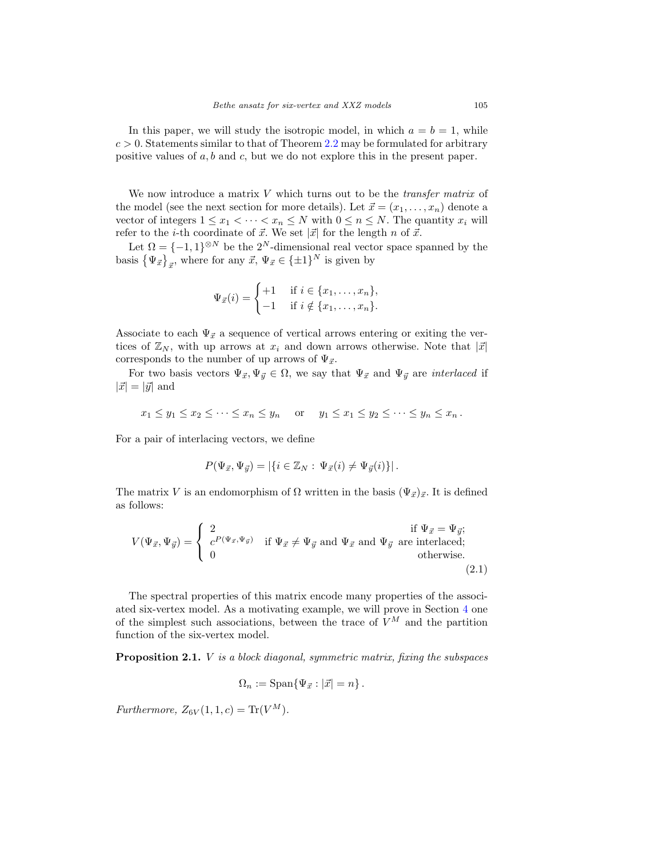In this paper, we will study the isotropic model, in which  $a = b = 1$ , while  $c > 0$ . Statements similar to that of Theorem [2.2](#page-4-1) may be formulated for arbitrary positive values of  $a, b$  and  $c$ , but we do not explore this in the present paper.

We now introduce a matrix  $V$  which turns out to be the *transfer matrix* of the model (see the next section for more details). Let  $\vec{x} = (x_1, \ldots, x_n)$  denote a vector of integers  $1 \leq x_1 < \cdots < x_n \leq N$  with  $0 \leq n \leq N$ . The quantity  $x_i$  will refer to the *i*-th coordinate of  $\vec{x}$ . We set  $|\vec{x}|$  for the length *n* of  $\vec{x}$ .

Let  $\Omega = \{-1, 1\}^{\otimes N}$  be the  $2^N$ -dimensional real vector space spanned by the basis  $\{\Psi_{\vec{x}}\}_{\vec{x}}$ , where for any  $\vec{x}, \Psi_{\vec{x}} \in {\{\pm 1\}}^N$  is given by

$$
\Psi_{\vec{x}}(i) = \begin{cases} +1 & \text{if } i \in \{x_1, \dots, x_n\}, \\ -1 & \text{if } i \notin \{x_1, \dots, x_n\}. \end{cases}
$$

Associate to each  $\Psi_{\vec{x}}$  a sequence of vertical arrows entering or exiting the vertices of  $\mathbb{Z}_N$ , with up arrows at  $x_i$  and down arrows otherwise. Note that  $|\vec{x}|$ corresponds to the number of up arrows of  $\Psi_{\vec{x}}$ .

For two basis vectors  $\Psi_{\vec{x}}, \Psi_{\vec{y}} \in \Omega$ , we say that  $\Psi_{\vec{x}}$  and  $\Psi_{\vec{y}}$  are *interlaced* if  $|\vec{x}| = |\vec{y}|$  and

$$
x_1 \leq y_1 \leq x_2 \leq \cdots \leq x_n \leq y_n
$$
 or  $y_1 \leq x_1 \leq y_2 \leq \cdots \leq y_n \leq x_n$ .

For a pair of interlacing vectors, we define

$$
P(\Psi_{\vec{x}}, \Psi_{\vec{y}}) = |\{i \in \mathbb{Z}_N : \Psi_{\vec{x}}(i) \neq \Psi_{\vec{y}}(i)\}|.
$$

The matrix V is an endomorphism of  $\Omega$  written in the basis  $(\Psi_{\vec{x}})_{\vec{x}}$ . It is defined as follows:

$$
V(\Psi_{\vec{x}}, \Psi_{\vec{y}}) = \begin{cases} 2 & \text{if } \Psi_{\vec{x}} = \Psi_{\vec{y}}; \\ c^{P(\Psi_{\vec{x}}, \Psi_{\vec{y}})} & \text{if } \Psi_{\vec{x}} \neq \Psi_{\vec{y}} \text{ and } \Psi_{\vec{x}} \text{ and } \Psi_{\vec{y}} \text{ are interleaced;} \\ 0 & \text{otherwise.} \end{cases}
$$
(2.1)

The spectral properties of this matrix encode many properties of the associated six-vertex model. As a motivating example, we will prove in Section [4](#page-22-0) one of the simplest such associations, between the trace of  $V^M$  and the partition function of the six-vertex model.

<span id="page-3-0"></span>**Proposition 2.1.** *V* is a block diagonal, symmetric matrix, fixing the subspaces

<span id="page-3-1"></span>
$$
\Omega_n := \text{Span}\{\Psi_{\vec{x}} : |\vec{x}| = n\}.
$$

Furthermore,  $Z_{6V}(1,1,c) = \text{Tr}(V^M)$ .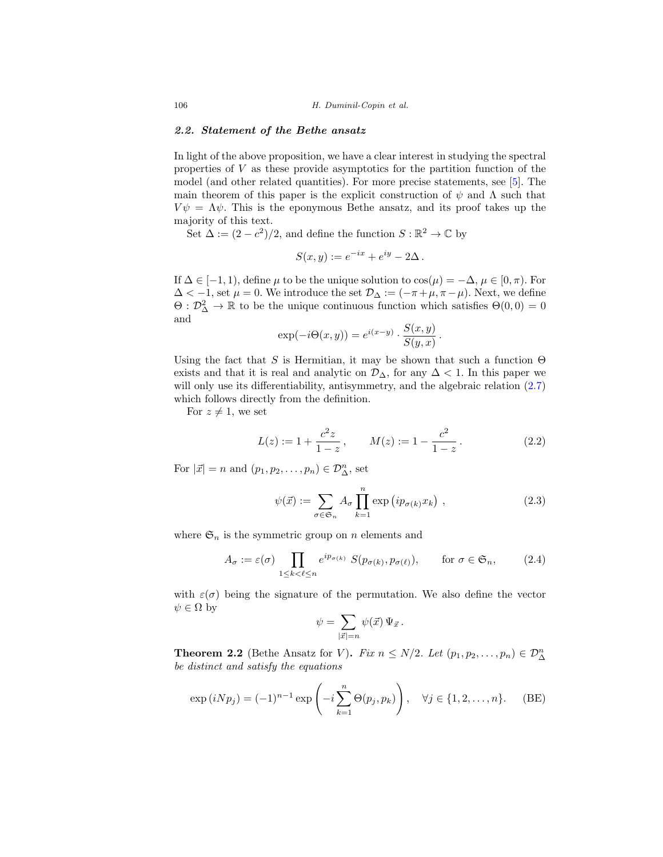# <span id="page-4-0"></span>*2.2. Statement of the Bethe ansatz*

In light of the above proposition, we have a clear interest in studying the spectral properties of  $V$  as these provide asymptotics for the partition function of the model (and other related quantities). For more precise statements, see [\[5](#page-28-0)]. The main theorem of this paper is the explicit construction of  $\psi$  and  $\Lambda$  such that  $V\psi = \Lambda \psi$ . This is the eponymous Bethe ansatz, and its proof takes up the majority of this text.

Set  $\Delta := (2 - c^2)/2$ , and define the function  $S : \mathbb{R}^2 \to \mathbb{C}$  by

$$
S(x, y) := e^{-ix} + e^{iy} - 2\Delta.
$$

If  $\Delta \in [-1, 1)$ , define  $\mu$  to be the unique solution to  $\cos(\mu) = -\Delta, \mu \in [0, \pi)$ . For  $\Delta < -1$ , set  $\mu = 0$ . We introduce the set  $\mathcal{D}_{\Delta} := (-\pi + \mu, \pi - \mu)$ . Next, we define  $\Theta : \mathcal{D}^2_{\Delta} \to \mathbb{R}$  to be the unique continuous function which satisfies  $\Theta(0,0) = 0$ and

$$
\exp(-i\Theta(x,y)) = e^{i(x-y)} \cdot \frac{S(x,y)}{S(y,x)}.
$$

Using the fact that S is Hermitian, it may be shown that such a function  $\Theta$ exists and that it is real and analytic on  $\mathcal{D}_{\Delta}$ , for any  $\Delta < 1$ . In this paper we will only use its differentiability, antisymmetry, and the algebraic relation  $(2.7)$ which follows directly from the definition.

For  $z \neq 1$ , we set

$$
L(z) := 1 + \frac{c^2 z}{1 - z}, \qquad M(z) := 1 - \frac{c^2}{1 - z}.
$$
 (2.2)

For  $|\vec{x}| = n$  and  $(p_1, p_2, \ldots, p_n) \in \mathcal{D}_{\Delta}^n$ , set

$$
\psi(\vec{x}) := \sum_{\sigma \in \mathfrak{S}_n} A_{\sigma} \prod_{k=1}^n \exp(i p_{\sigma(k)} x_k) , \qquad (2.3)
$$

where  $\mathfrak{S}_n$  is the symmetric group on n elements and

$$
A_{\sigma} := \varepsilon(\sigma) \prod_{1 \le k < \ell \le n} e^{ip_{\sigma(k)}} S(p_{\sigma(k)}, p_{\sigma(\ell)}), \quad \text{for } \sigma \in \mathfrak{S}_n,\tag{2.4}
$$

with  $\varepsilon(\sigma)$  being the signature of the permutation. We also define the vector  $\psi \in \Omega$  by

<span id="page-4-4"></span><span id="page-4-3"></span><span id="page-4-2"></span>
$$
\psi = \sum_{|\vec{x}|=n} \psi(\vec{x}) \, \Psi_{\vec{x}} \, .
$$

<span id="page-4-1"></span>**Theorem 2.2** (Bethe Ansatz for V). Fix  $n \leq N/2$ . Let  $(p_1, p_2, \ldots, p_n) \in \mathcal{D}_{\Delta}^n$ be distinct and satisfy the equations

$$
\exp(iNp_j) = (-1)^{n-1} \exp\left(-i \sum_{k=1}^n \Theta(p_j, p_k)\right), \quad \forall j \in \{1, 2, ..., n\}.
$$
 (BE)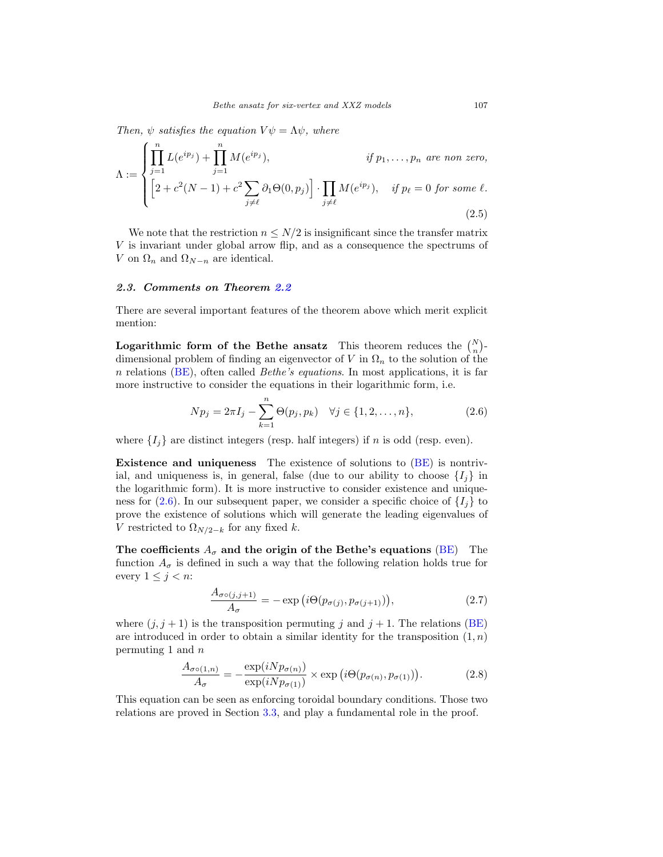Then,  $\psi$  satisfies the equation  $V\psi = \Lambda \psi$ , where

$$
\Lambda := \begin{cases} \prod_{j=1}^{n} L(e^{ip_j}) + \prod_{j=1}^{n} M(e^{ip_j}), & \text{if } p_1, \dots, p_n \text{ are non zero,} \\ \left[ 2 + c^2(N-1) + c^2 \sum_{j \neq \ell} \partial_1 \Theta(0, p_j) \right] \cdot \prod_{j \neq \ell} M(e^{ip_j}), & \text{if } p_\ell = 0 \text{ for some } \ell. \end{cases}
$$
(2.5)

We note that the restriction  $n \leq N/2$  is insignificant since the transfer matrix  $V$  is invariant under global arrow flip, and as a consequence the spectrums of V on  $\Omega_n$  and  $\Omega_{N-n}$  are identical.

## <span id="page-5-0"></span>*2.3. Comments on Theorem [2.2](#page-4-1)*

There are several important features of the theorem above which merit explicit mention:

**Logarithmic form of the Bethe ansatz** This theorem reduces the  $\binom{N}{n}$ dimensional problem of finding an eigenvector of V in  $\Omega_n$  to the solution of the n relations  $(BE)$ , often called *Bethe's equations*. In most applications, it is far more instructive to consider the equations in their logarithmic form, i.e.

<span id="page-5-3"></span><span id="page-5-2"></span>
$$
Np_j = 2\pi I_j - \sum_{k=1}^n \Theta(p_j, p_k) \quad \forall j \in \{1, 2, \dots, n\},
$$
 (2.6)

where  $\{I_i\}$  are distinct integers (resp. half integers) if n is odd (resp. even).

**Existence and uniqueness** The existence of solutions to [\(BE\)](#page-4-2) is nontrivial, and uniqueness is, in general, false (due to our ability to choose  $\{I_i\}$  in the logarithmic form). It is more instructive to consider existence and unique-ness for [\(2.6\)](#page-5-2). In our subsequent paper, we consider a specific choice of  $\{I_i\}$  to prove the existence of solutions which will generate the leading eigenvalues of V restricted to  $\Omega_{N/2-k}$  for any fixed k.

**The coefficients**  $A_{\sigma}$  and the origin of the Bethe's equations [\(BE\)](#page-4-2) The function  $A_{\sigma}$  is defined in such a way that the following relation holds true for every  $1 \leq j < n$ :

<span id="page-5-1"></span>
$$
\frac{A_{\sigma\circ(j,j+1)}}{A_{\sigma}} = -\exp(i\Theta(p_{\sigma(j)}, p_{\sigma(j+1)})),
$$
\n(2.7)

where  $(j, j + 1)$  is the transposition permuting j and  $j + 1$ . The relations [\(BE\)](#page-4-2) are introduced in order to obtain a similar identity for the transposition  $(1, n)$ permuting 1 and  $n$ 

<span id="page-5-4"></span>
$$
\frac{A_{\sigma\circ(1,n)}}{A_{\sigma}} = -\frac{\exp(iNp_{\sigma(n)})}{\exp(iNp_{\sigma(1)})} \times \exp\left(i\Theta(p_{\sigma(n)}, p_{\sigma(1)})\right). \tag{2.8}
$$

This equation can be seen as enforcing toroidal boundary conditions. Those two relations are proved in Section [3.3,](#page-12-0) and play a fundamental role in the proof.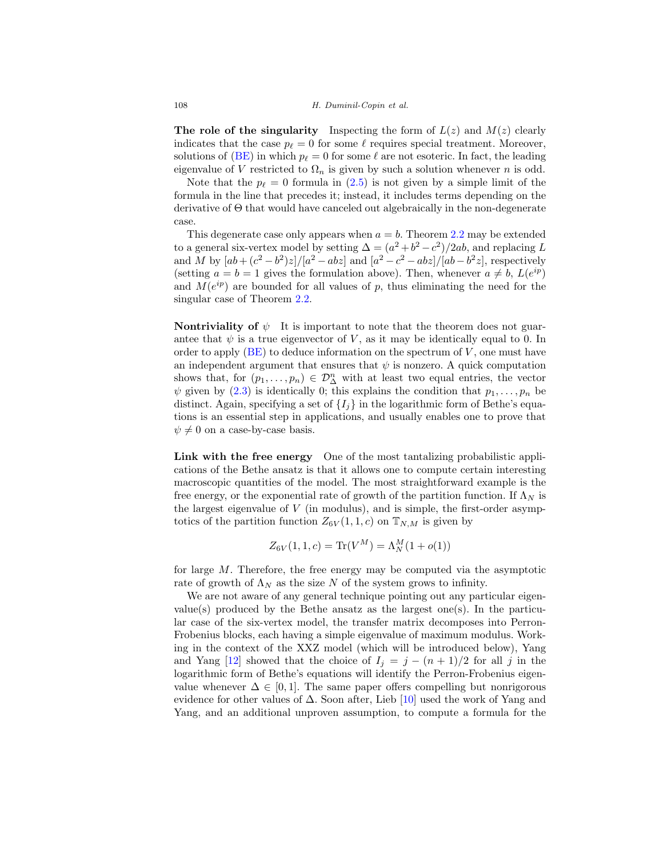**The role of the singularity** Inspecting the form of  $L(z)$  and  $M(z)$  clearly indicates that the case  $p_{\ell} = 0$  for some  $\ell$  requires special treatment. Moreover, solutions of [\(BE\)](#page-4-2) in which  $p_\ell = 0$  for some  $\ell$  are not esoteric. In fact, the leading eigenvalue of V restricted to  $\Omega_n$  is given by such a solution whenever n is odd.

Note that the  $p_{\ell} = 0$  formula in [\(2.5\)](#page-5-3) is not given by a simple limit of the formula in the line that precedes it; instead, it includes terms depending on the derivative of Θ that would have canceled out algebraically in the non-degenerate case.

This degenerate case only appears when  $a = b$ . Theorem [2.2](#page-4-1) may be extended to a general six-vertex model by setting  $\Delta = (a^2 + b^2 - c^2)/2ab$ , and replacing L and M by  $[ab + (c^2 - b^2)z]/[a^2 - abz]$  and  $[a^2 - c^2 - abz]/[ab - b^2z]$ , respectively (setting  $a = b = 1$  gives the formulation above). Then, whenever  $a \neq b$ ,  $L(e^{ip})$ and  $M(e^{ip})$  are bounded for all values of p, thus eliminating the need for the singular case of Theorem [2.2.](#page-4-1)

**Nontriviality of**  $\psi$  It is important to note that the theorem does not guarantee that  $\psi$  is a true eigenvector of V, as it may be identically equal to 0. In order to apply  $(BE)$  to deduce information on the spectrum of  $V$ , one must have an independent argument that ensures that  $\psi$  is nonzero. A quick computation shows that, for  $(p_1, \ldots, p_n) \in \mathcal{D}_{\Delta}^n$  with at least two equal entries, the vector  $\psi$  given by [\(2.3\)](#page-4-3) is identically 0; this explains the condition that  $p_1, \ldots, p_n$  be distinct. Again, specifying a set of  $\{I_i\}$  in the logarithmic form of Bethe's equations is an essential step in applications, and usually enables one to prove that  $\psi \neq 0$  on a case-by-case basis.

**Link with the free energy** One of the most tantalizing probabilistic applications of the Bethe ansatz is that it allows one to compute certain interesting macroscopic quantities of the model. The most straightforward example is the free energy, or the exponential rate of growth of the partition function. If  $\Lambda_N$  is the largest eigenvalue of  $V$  (in modulus), and is simple, the first-order asymptotics of the partition function  $Z_{6V}(1, 1, c)$  on  $\mathbb{T}_{N,M}$  is given by

$$
Z_{6V}(1,1,c) = \text{Tr}(V^M) = \Lambda_N^M(1 + o(1))
$$

for large M. Therefore, the free energy may be computed via the asymptotic rate of growth of  $\Lambda_N$  as the size N of the system grows to infinity.

We are not aware of any general technique pointing out any particular eigenvalue(s) produced by the Bethe ansatz as the largest one(s). In the particular case of the six-vertex model, the transfer matrix decomposes into Perron-Frobenius blocks, each having a simple eigenvalue of maximum modulus. Working in the context of the XXZ model (which will be introduced below), Yang and Yang [\[12](#page-28-10)] showed that the choice of  $I_j = j - (n + 1)/2$  for all j in the logarithmic form of Bethe's equations will identify the Perron-Frobenius eigenvalue whenever  $\Delta \in [0, 1]$ . The same paper offers compelling but nonrigorous evidence for other values of  $\Delta$ . Soon after, Lieb [\[10](#page-28-4)] used the work of Yang and Yang, and an additional unproven assumption, to compute a formula for the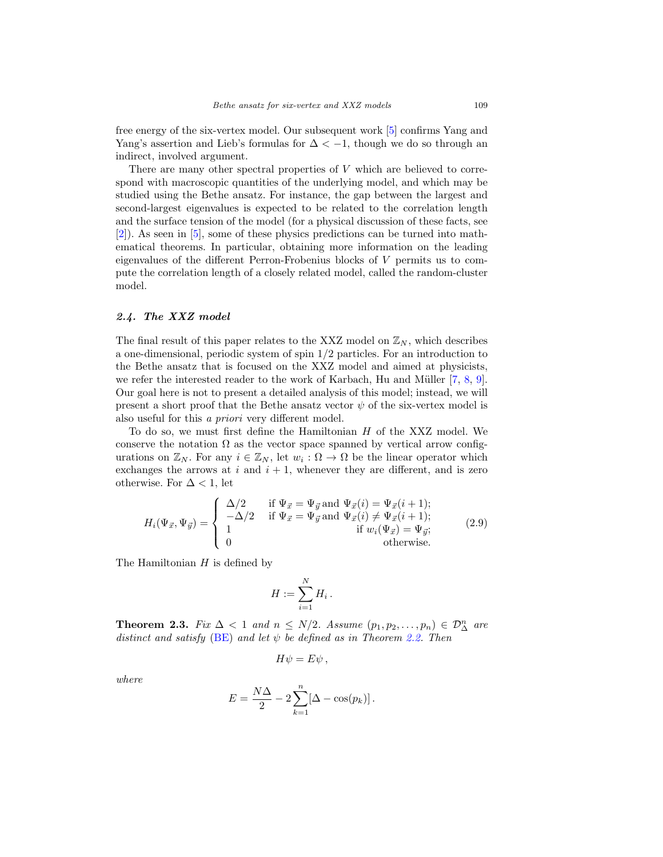free energy of the six-vertex model. Our subsequent work [\[5](#page-28-0)] confirms Yang and Yang's assertion and Lieb's formulas for  $\Delta < -1$ , though we do so through an indirect, involved argument.

There are many other spectral properties of  $V$  which are believed to correspond with macroscopic quantities of the underlying model, and which may be studied using the Bethe ansatz. For instance, the gap between the largest and second-largest eigenvalues is expected to be related to the correlation length and the surface tension of the model (for a physical discussion of these facts, see [\[2\]](#page-28-6)). As seen in [\[5](#page-28-0)], some of these physics predictions can be turned into mathematical theorems. In particular, obtaining more information on the leading eigenvalues of the different Perron-Frobenius blocks of V permits us to compute the correlation length of a closely related model, called the random-cluster model.

# <span id="page-7-0"></span>*2.4. The XXZ model*

The final result of this paper relates to the XXZ model on  $\mathbb{Z}_N$ , which describes a one-dimensional, periodic system of spin 1/2 particles. For an introduction to the Bethe ansatz that is focused on the XXZ model and aimed at physicists, we refer the interested reader to the work of Karbach, Hu and Müller [\[7,](#page-28-11) [8,](#page-28-12) [9](#page-28-13)]. Our goal here is not to present a detailed analysis of this model; instead, we will present a short proof that the Bethe ansatz vector  $\psi$  of the six-vertex model is also useful for this a priori very different model.

To do so, we must first define the Hamiltonian H of the XXZ model. We conserve the notation  $\Omega$  as the vector space spanned by vertical arrow configurations on  $\mathbb{Z}_N$ . For any  $i \in \mathbb{Z}_N$ , let  $w_i : \Omega \to \Omega$  be the linear operator which exchanges the arrows at  $i$  and  $i + 1$ , whenever they are different, and is zero otherwise. For  $\Delta < 1$ , let

$$
H_i(\Psi_{\vec{x}}, \Psi_{\vec{y}}) = \begin{cases} \Delta/2 & \text{if } \Psi_{\vec{x}} = \Psi_{\vec{y}} \text{ and } \Psi_{\vec{x}}(i) = \Psi_{\vec{x}}(i+1); \\ -\Delta/2 & \text{if } \Psi_{\vec{x}} = \Psi_{\vec{y}} \text{ and } \Psi_{\vec{x}}(i) \neq \Psi_{\vec{x}}(i+1); \\ 1 & \text{if } w_i(\Psi_{\vec{x}}) = \Psi_{\vec{y}}; \\ 0 & \text{otherwise.} \end{cases}
$$
(2.9)

The Hamiltonian  $H$  is defined by

$$
H:=\sum_{i=1}^N H_i\,.
$$

<span id="page-7-1"></span>**Theorem 2.3.** Fix  $\Delta < 1$  and  $n \leq N/2$ . Assume  $(p_1, p_2, \ldots, p_n) \in \mathcal{D}_{\Delta}^n$  are distinct and satisfy [\(BE\)](#page-4-2) and let  $\psi$  be defined as in Theorem [2.2.](#page-4-1) Then

$$
H\psi = E\psi ,
$$

where

$$
E = \frac{N\Delta}{2} - 2\sum_{k=1}^{n} [\Delta - \cos(p_k)].
$$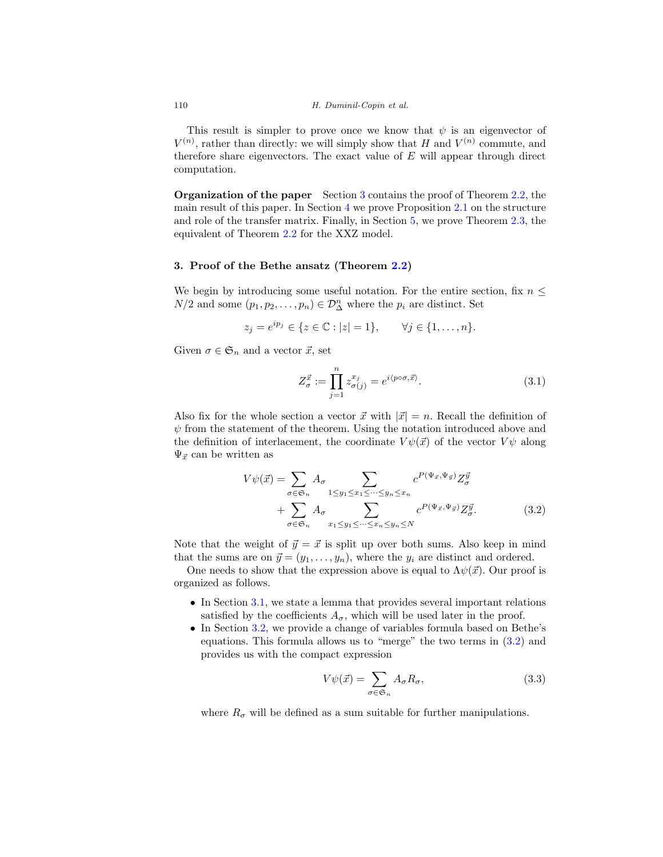This result is simpler to prove once we know that  $\psi$  is an eigenvector of  $V^{(n)}$ , rather than directly: we will simply show that H and  $V^{(n)}$  commute, and therefore share eigenvectors. The exact value of  $E$  will appear through direct computation.

**Organization of the paper** Section [3](#page-8-0) contains the proof of Theorem [2.2,](#page-4-1) the main result of this paper. In Section [4](#page-22-0) we prove Proposition [2.1](#page-3-0) on the structure and role of the transfer matrix. Finally, in Section [5,](#page-24-0) we prove Theorem [2.3,](#page-7-1) the equivalent of Theorem [2.2](#page-4-1) for the XXZ model.

# <span id="page-8-0"></span>**3. Proof of the Bethe ansatz (Theorem [2.2\)](#page-4-1)**

We begin by introducing some useful notation. For the entire section, fix  $n \leq$  $N/2$  and some  $(p_1, p_2, \ldots, p_n) \in \mathcal{D}_{\Delta}^n$  where the  $p_i$  are distinct. Set

$$
z_j = e^{ip_j} \in \{z \in \mathbb{C} : |z| = 1\}, \quad \forall j \in \{1, ..., n\}.
$$

Given  $\sigma \in \mathfrak{S}_n$  and a vector  $\vec{x}$ , set

$$
Z_{\sigma}^{\vec{x}} := \prod_{j=1}^{n} z_{\sigma(j)}^{x_j} = e^{i \langle p \circ \sigma, \vec{x} \rangle}.
$$
 (3.1)

Also fix for the whole section a vector  $\vec{x}$  with  $|\vec{x}| = n$ . Recall the definition of  $\psi$  from the statement of the theorem. Using the notation introduced above and the definition of interlacement, the coordinate  $V\psi(\vec{x})$  of the vector  $V\psi$  along  $\Psi_{\vec{x}}$  can be written as

$$
V\psi(\vec{x}) = \sum_{\sigma \in \mathfrak{S}_n} A_{\sigma} \sum_{1 \le y_1 \le x_1 \le \dots \le y_n \le x_n} c^{P(\Psi_{\vec{x}}, \Psi_{\vec{y}})} Z_{\sigma}^{\vec{y}}
$$
  
+ 
$$
\sum_{\sigma \in \mathfrak{S}_n} A_{\sigma} \sum_{x_1 \le y_1 \le \dots \le x_n \le y_n \le N} c^{P(\Psi_{\vec{x}}, \Psi_{\vec{y}})} Z_{\sigma}^{\vec{y}}.
$$
(3.2)

Note that the weight of  $\vec{y} = \vec{x}$  is split up over both sums. Also keep in mind that the sums are on  $\vec{y} = (y_1, \ldots, y_n)$ , where the  $y_i$  are distinct and ordered.

One needs to show that the expression above is equal to  $\Lambda \psi(\vec{x})$ . Our proof is organized as follows.

- In Section [3.1,](#page-9-0) we state a lemma that provides several important relations satisfied by the coefficients  $A_{\sigma}$ , which will be used later in the proof.
- In Section [3.2,](#page-11-0) we provide a change of variables formula based on Bethe's equations. This formula allows us to "merge" the two terms in [\(3.2\)](#page-8-1) and provides us with the compact expression

<span id="page-8-2"></span><span id="page-8-1"></span>
$$
V\psi(\vec{x}) = \sum_{\sigma \in \mathfrak{S}_n} A_{\sigma} R_{\sigma},\tag{3.3}
$$

where  $R_{\sigma}$  will be defined as a sum suitable for further manipulations.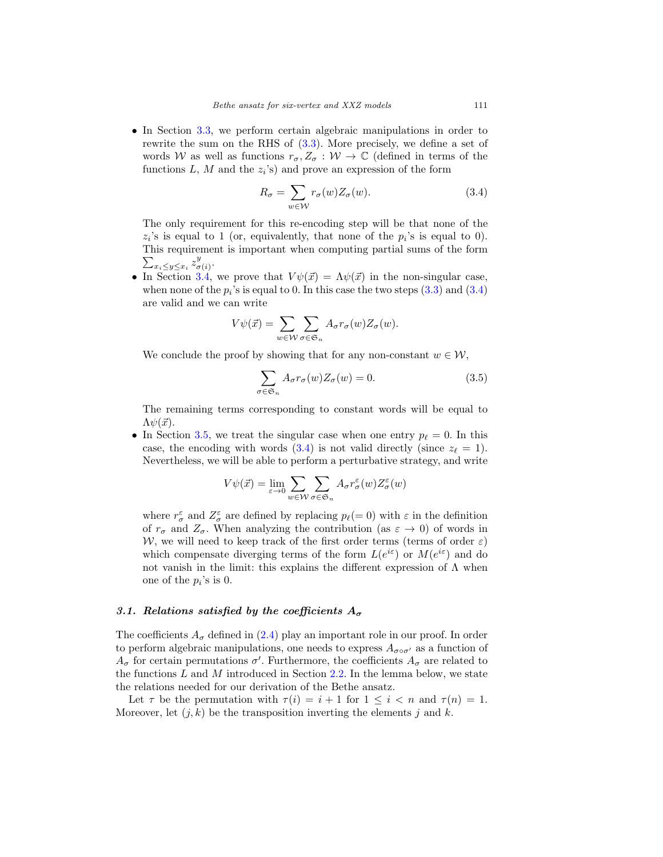• In Section [3.3,](#page-12-0) we perform certain algebraic manipulations in order to rewrite the sum on the RHS of [\(3.3\)](#page-8-2). More precisely, we define a set of words W as well as functions  $r_{\sigma}, Z_{\sigma}: W \to \mathbb{C}$  (defined in terms of the functions L, M and the  $z_i$ 's) and prove an expression of the form

<span id="page-9-1"></span>
$$
R_{\sigma} = \sum_{w \in \mathcal{W}} r_{\sigma}(w) Z_{\sigma}(w).
$$
 (3.4)

The only requirement for this re-encoding step will be that none of the  $z_i$ 's is equal to 1 (or, equivalently, that none of the  $p_i$ 's is equal to 0). This requirement is important when computing partial sums of the form  $\sum_{x_i\leq y\leq x_i} z^y_{\sigma(i)}.$ 

• In Section [3.4,](#page-14-0) we prove that  $V\psi(\vec{x})=\Lambda\psi(\vec{x})$  in the non-singular case, when none of the  $p_i$ 's is equal to 0. In this case the two steps  $(3.3)$  and  $(3.4)$ are valid and we can write

$$
V\psi(\vec{x}) = \sum_{w \in \mathcal{W}} \sum_{\sigma \in \mathfrak{S}_n} A_{\sigma} r_{\sigma}(w) Z_{\sigma}(w).
$$

We conclude the proof by showing that for any non-constant  $w \in \mathcal{W}$ ,

$$
\sum_{\sigma \in \mathfrak{S}_n} A_{\sigma} r_{\sigma}(w) Z_{\sigma}(w) = 0.
$$
 (3.5)

The remaining terms corresponding to constant words will be equal to  $\Lambda \psi(\vec{x})$ .

• In Section [3.5,](#page-16-0) we treat the singular case when one entry  $p_{\ell} = 0$ . In this case, the encoding with words [\(3.4\)](#page-9-1) is not valid directly (since  $z_{\ell} = 1$ ). Nevertheless, we will be able to perform a perturbative strategy, and write

$$
V\psi(\vec{x}) = \lim_{\varepsilon \to 0} \sum_{w \in \mathcal{W}} \sum_{\sigma \in \mathfrak{S}_n} A_{\sigma} r_{\sigma}^{\varepsilon}(w) Z_{\sigma}^{\varepsilon}(w)
$$

where  $r^{\varepsilon}_{\sigma}$  and  $Z^{\varepsilon}_{\sigma}$  are defined by replacing  $p_{\ell} (= 0)$  with  $\varepsilon$  in the definition of  $r_{\sigma}$  and  $Z_{\sigma}$ . When analyzing the contribution (as  $\varepsilon \to 0$ ) of words in W, we will need to keep track of the first order terms (terms of order  $\varepsilon$ ) which compensate diverging terms of the form  $L(e^{i\varepsilon})$  or  $M(e^{i\varepsilon})$  and do not vanish in the limit: this explains the different expression of  $Λ$  when one of the  $p_i$ 's is 0.

#### <span id="page-9-0"></span>*3.1. Relations satisfied by the coefficients*  $A_{\sigma}$

The coefficients  $A_{\sigma}$  defined in [\(2.4\)](#page-4-4) play an important role in our proof. In order to perform algebraic manipulations, one needs to express  $A_{\sigma \circ \sigma'}$  as a function of  $A_{\sigma}$  for certain permutations  $\sigma'$ . Furthermore, the coefficients  $A_{\sigma}$  are related to the functions  $L$  and  $M$  introduced in Section [2.2.](#page-4-0) In the lemma below, we state the relations needed for our derivation of the Bethe ansatz.

Let  $\tau$  be the permutation with  $\tau(i) = i + 1$  for  $1 \leq i \leq n$  and  $\tau(n) = 1$ . Moreover, let  $(j, k)$  be the transposition inverting the elements j and k.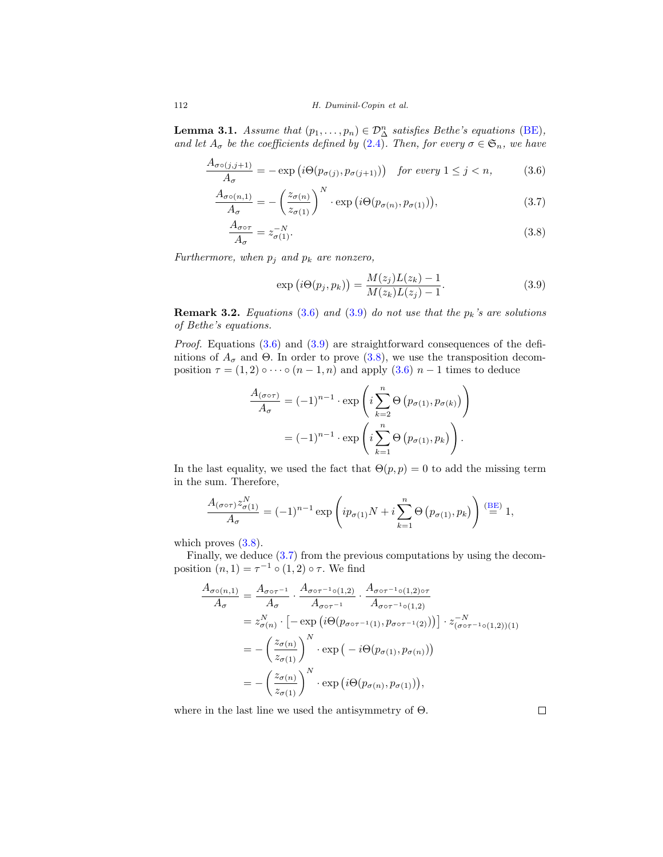112 H. Duminil-Copin et al.

<span id="page-10-4"></span>**Lemma 3.1.** Assume that  $(p_1, \ldots, p_n) \in \mathcal{D}_{\Delta}^n$  satisfies Bethe's equations [\(BE\)](#page-4-2), and let  $A_{\sigma}$  be the coefficients defined by [\(2.4\)](#page-4-4). Then, for every  $\sigma \in \mathfrak{S}_n$ , we have

$$
\frac{A_{\sigma \circ (j,j+1)}}{A_{\sigma}} = -\exp\left(i\Theta(p_{\sigma(j)}, p_{\sigma(j+1)})\right) \quad \text{for every } 1 \le j < n,\tag{3.6}
$$

$$
\frac{A_{\sigma\circ(n,1)}}{A_{\sigma}} = -\left(\frac{z_{\sigma(n)}}{z_{\sigma(1)}}\right)^N \cdot \exp\left(i\Theta(p_{\sigma(n)}, p_{\sigma(1)})\right),\tag{3.7}
$$

$$
\frac{A_{\sigma \circ \tau}}{A_{\sigma}} = z_{\sigma(1)}^{-N}.
$$
\n(3.8)

Furthermore, when  $p_j$  and  $p_k$  are nonzero,

<span id="page-10-3"></span><span id="page-10-2"></span><span id="page-10-1"></span><span id="page-10-0"></span>
$$
\exp(i\Theta(p_j, p_k)) = \frac{M(z_j)L(z_k) - 1}{M(z_k)L(z_j) - 1}.
$$
\n(3.9)

**Remark 3.2.** Equations  $(3.6)$  and  $(3.9)$  do not use that the  $p_k$ 's are solutions of Bethe's equations.

*Proof.* Equations  $(3.6)$  and  $(3.9)$  are straightforward consequences of the definitions of  $A_{\sigma}$  and  $\Theta$ . In order to prove [\(3.8\)](#page-10-2), we use the transposition decomposition  $\tau = (1, 2) \circ \cdots \circ (n - 1, n)$  and apply  $(3.6)$   $n - 1$  times to deduce

$$
\frac{A_{(\sigma \circ \tau)}}{A_{\sigma}} = (-1)^{n-1} \cdot \exp\left(i \sum_{k=2}^{n} \Theta\left(p_{\sigma(1)}, p_{\sigma(k)}\right)\right)
$$

$$
= (-1)^{n-1} \cdot \exp\left(i \sum_{k=1}^{n} \Theta\left(p_{\sigma(1)}, p_k\right)\right).
$$

In the last equality, we used the fact that  $\Theta(p, p) = 0$  to add the missing term in the sum. Therefore,

$$
\frac{A_{(\sigma \circ \tau)} z_{\sigma(1)}^N}{A_{\sigma}} = (-1)^{n-1} \exp\left( i p_{\sigma(1)} N + i \sum_{k=1}^n \Theta\left( p_{\sigma(1)}, p_k \right) \right) \stackrel{\text{(BE)}}{=} 1,
$$

which proves  $(3.8)$ .

Finally, we deduce [\(3.7\)](#page-10-3) from the previous computations by using the decomposition  $(n, 1) = \tau^{-1} \circ (1, 2) \circ \tau$ . We find

$$
\frac{A_{\sigma\circ(n,1)}}{A_{\sigma}} = \frac{A_{\sigma\circ\tau^{-1}}}{A_{\sigma}} \cdot \frac{A_{\sigma\circ\tau^{-1}\circ(1,2)}}{A_{\sigma\circ\tau^{-1}}} \cdot \frac{A_{\sigma\circ\tau^{-1}\circ(1,2)\circ\tau}}{A_{\sigma\circ\tau^{-1}\circ(1,2)}} \n= z_{\sigma(n)}^N \cdot \left[ -\exp\left(i\Theta(p_{\sigma\circ\tau^{-1}(1)}, p_{\sigma\circ\tau^{-1}(2)})\right)\right] \cdot z_{(\sigma\circ\tau^{-1}\circ(1,2))(1)}^{-N} \n= -\left(\frac{z_{\sigma(n)}}{z_{\sigma(1)}}\right)^N \cdot \exp\left(-i\Theta(p_{\sigma(1)}, p_{\sigma(n)})\right) \n= -\left(\frac{z_{\sigma(n)}}{z_{\sigma(1)}}\right)^N \cdot \exp\left(i\Theta(p_{\sigma(n)}, p_{\sigma(1)})\right),
$$

where in the last line we used the antisymmetry of  $\Theta$ .

 $\Box$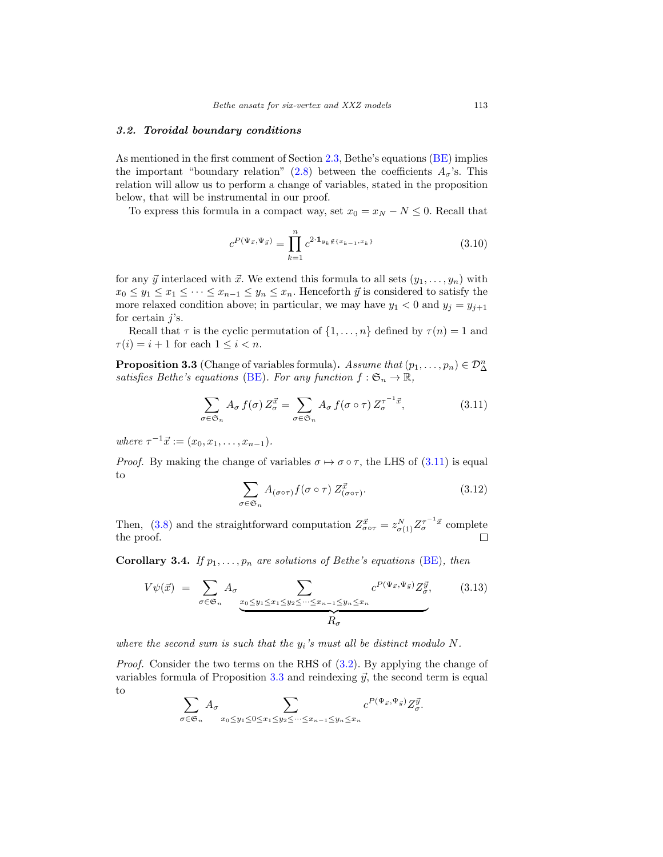#### <span id="page-11-0"></span>*3.2. Toroidal boundary conditions*

As mentioned in the first comment of Section [2.3,](#page-5-0) Bethe's equations [\(BE\)](#page-4-2) implies the important "boundary relation" [\(2.8\)](#page-5-4) between the coefficients  $A_{\sigma}$ 's. This relation will allow us to perform a change of variables, stated in the proposition below, that will be instrumental in our proof.

To express this formula in a compact way, set  $x_0 = x_N - N \leq 0$ . Recall that

<span id="page-11-3"></span>
$$
c^{P(\Psi_{\vec{x}},\Psi_{\vec{y}})} = \prod_{k=1}^{n} c^{2 \cdot \mathbf{1}_{y_k \notin \{x_{k-1}, x_k\}}}
$$
(3.10)

for any  $\vec{y}$  interlaced with  $\vec{x}$ . We extend this formula to all sets  $(y_1, \ldots, y_n)$  with  $x_0 \leq y_1 \leq x_1 \leq \cdots \leq x_{n-1} \leq y_n \leq x_n$ . Henceforth  $\vec{y}$  is considered to satisfy the more relaxed condition above; in particular, we may have  $y_1 < 0$  and  $y_j = y_{j+1}$ for certain  $j$ 's.

Recall that  $\tau$  is the cyclic permutation of  $\{1,\ldots,n\}$  defined by  $\tau(n) = 1$  and  $\tau(i) = i + 1$  for each  $1 \leq i < n$ .

<span id="page-11-2"></span>**Proposition 3.3** (Change of variables formula). Assume that  $(p_1, \ldots, p_n) \in \mathcal{D}_{\Delta}^n$ satisfies Bethe's equations [\(BE\)](#page-4-2). For any function  $f : \mathfrak{S}_n \to \mathbb{R}$ ,

<span id="page-11-1"></span>
$$
\sum_{\sigma \in \mathfrak{S}_n} A_{\sigma} f(\sigma) Z_{\sigma}^{\vec{x}} = \sum_{\sigma \in \mathfrak{S}_n} A_{\sigma} f(\sigma \circ \tau) Z_{\sigma}^{\tau^{-1} \vec{x}}, \tag{3.11}
$$

where  $\tau^{-1}\vec{x} := (x_0, x_1, \ldots, x_{n-1}).$ 

*Proof.* By making the change of variables  $\sigma \mapsto \sigma \circ \tau$ , the LHS of [\(3.11\)](#page-11-1) is equal to

$$
\sum_{\sigma \in \mathfrak{S}_n} A_{(\sigma \circ \tau)} f(\sigma \circ \tau) Z_{(\sigma \circ \tau)}^{\vec{x}}.
$$
 (3.12)

Then, [\(3.8\)](#page-10-2) and the straightforward computation  $Z_{\sigma \circ \tau}^{\vec{x}} = z_{\sigma(1)}^N Z_{\sigma}^{\tau^{-1} \vec{x}}$  complete the proof.

<span id="page-11-4"></span>**Corollary 3.4.** If  $p_1, \ldots, p_n$  are solutions of Bethe's equations [\(BE\)](#page-4-2), then

<span id="page-11-5"></span>
$$
V\psi(\vec{x}) = \sum_{\sigma \in \mathfrak{S}_n} A_{\sigma} \sum_{\underline{x_0 \le y_1 \le x_1 \le y_2 \le \cdots \le x_{n-1} \le y_n \le x_n}} c^{P(\Psi_{\vec{x}}, \Psi_{\vec{y}})} Z_{\sigma}^{\vec{y}}, \qquad (3.13)
$$

where the second sum is such that the  $y_i$ 's must all be distinct modulo N.

*Proof.* Consider the two terms on the RHS of  $(3.2)$ . By applying the change of variables formula of Proposition  $3.3$  and reindexing  $\vec{y}$ , the second term is equal to

$$
\sum_{\sigma\in\mathfrak{S}_n}A_{\sigma}\sum_{x_0\leq y_1\leq 0\leq x_1\leq y_2\leq\cdots\leq x_{n-1}\leq y_n\leq x_n}c^{P(\Psi_{\vec{x}},\Psi_{\vec{y}})}Z^{\vec{y}}_{\sigma}.
$$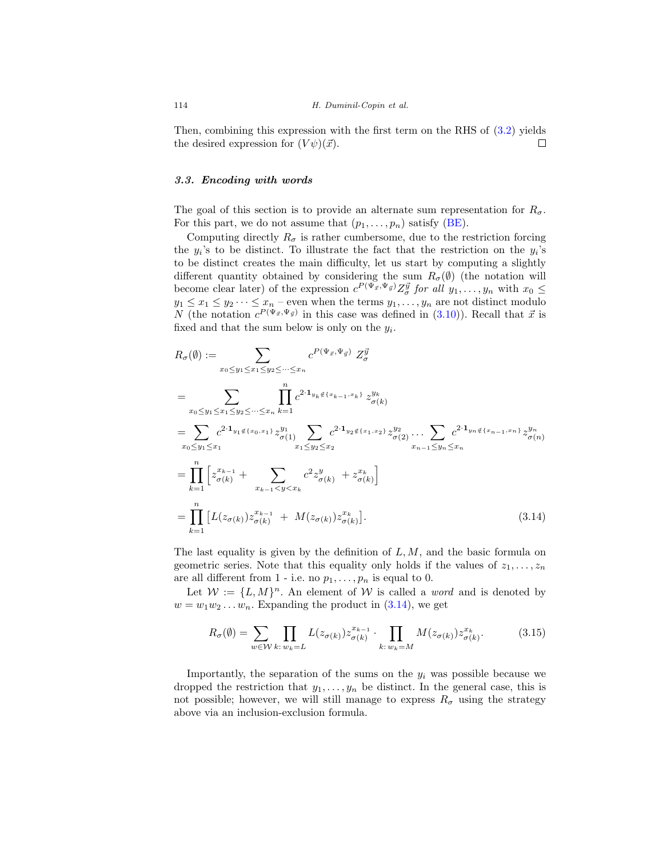Then, combining this expression with the first term on the RHS of [\(3.2\)](#page-8-1) yields the desired expression for  $(V\psi)(\vec{x})$ .  $\Box$ 

# <span id="page-12-0"></span>*3.3. Encoding with words*

The goal of this section is to provide an alternate sum representation for  $R_{\sigma}$ . For this part, we do not assume that  $(p_1, \ldots, p_n)$  satisfy [\(BE\)](#page-4-2).

Computing directly  $R_{\sigma}$  is rather cumbersome, due to the restriction forcing the  $y_i$ 's to be distinct. To illustrate the fact that the restriction on the  $y_i$ 's to be distinct creates the main difficulty, let us start by computing a slightly different quantity obtained by considering the sum  $R_{\sigma}(\emptyset)$  (the notation will become clear later) of the expression  $c^{P(\Psi_{\vec{x}}, \Psi_{\vec{y}})} Z_{\sigma}^{\vec{y}}$  for all  $y_1, \ldots, y_n$  with  $x_0 \leq$  $y_1 \leq x_1 \leq y_2 \cdots \leq x_n$  – even when the terms  $y_1, \ldots, y_n$  are not distinct modulo N (the notation  $c^{P(\Psi_{\vec{x}},\Psi_{\vec{y}})}$  in this case was defined in [\(3.10\)](#page-11-3)). Recall that  $\vec{x}$  is fixed and that the sum below is only on the  $y_i$ .

$$
R_{\sigma}(\emptyset) := \sum_{x_0 \leq y_1 \leq x_1 \leq y_2 \leq \dots \leq x_n} c^{P(\Psi_{\vec{x}}, \Psi_{\vec{y}})} Z_{\sigma}^{\vec{y}}
$$
  
\n
$$
= \sum_{x_0 \leq y_1 \leq x_1 \leq y_2 \leq \dots \leq x_n} \prod_{k=1}^n c^{2 \cdot \mathbf{1}_{y_k \notin \{x_{k-1}, x_k\}}} z_{\sigma(k)}^{y_k}
$$
  
\n
$$
= \sum_{x_0 \leq y_1 \leq x_1} c^{2 \cdot \mathbf{1}_{y_1 \notin \{x_0, x_1\}}} z_{\sigma(1)}^{y_1} \sum_{x_1 \leq y_2 \leq x_2} c^{2 \cdot \mathbf{1}_{y_2 \notin \{x_1, x_2\}}} z_{\sigma(2)}^{y_2} \dots \sum_{x_{n-1} \leq y_n \leq x_n} c^{2 \cdot \mathbf{1}_{y_n \notin \{x_{n-1}, x_n\}}} z_{\sigma(n)}^{y_n}
$$
  
\n
$$
= \prod_{k=1}^n \left[ z_{\sigma(k)}^{x_{k-1}} + \sum_{x_{k-1} < y < x_k} c^2 z_{\sigma(k)}^y + z_{\sigma(k)}^{x_k} \right]
$$
  
\n
$$
= \prod_{k=1}^n \left[ L(z_{\sigma(k)}) z_{\sigma(k)}^{x_{k-1}} + M(z_{\sigma(k)}) z_{\sigma(k)}^{x_k} \right]. \tag{3.14}
$$

The last equality is given by the definition of  $L, M$ , and the basic formula on geometric series. Note that this equality only holds if the values of  $z_1, \ldots, z_n$ are all different from 1 - i.e. no  $p_1, \ldots, p_n$  is equal to 0.

Let  $W := \{L, M\}^n$ . An element of W is called a *word* and is denoted by  $w = w_1w_2 \ldots w_n$ . Expanding the product in  $(3.14)$ , we get

<span id="page-12-2"></span><span id="page-12-1"></span>
$$
R_{\sigma}(\emptyset) = \sum_{w \in \mathcal{W}} \prod_{k:\, w_k = L} L(z_{\sigma(k)}) z_{\sigma(k)}^{x_{k-1}} \cdot \prod_{k:\, w_k = M} M(z_{\sigma(k)}) z_{\sigma(k)}^{x_k}.
$$
 (3.15)

Importantly, the separation of the sums on the  $y_i$  was possible because we dropped the restriction that  $y_1, \ldots, y_n$  be distinct. In the general case, this is not possible; however, we will still manage to express  $R_{\sigma}$  using the strategy above via an inclusion-exclusion formula.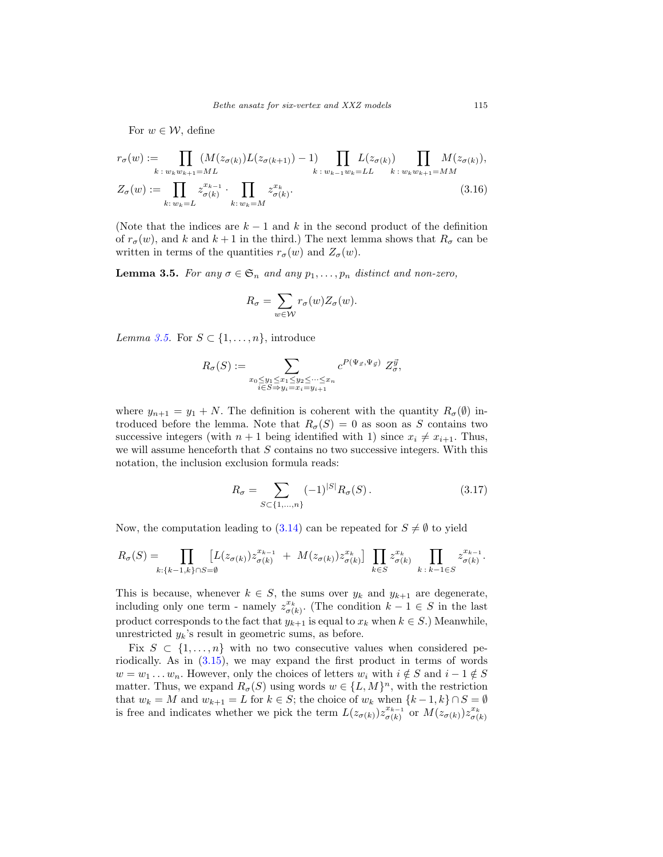For  $w \in \mathcal{W}$ , define

$$
r_{\sigma}(w) := \prod_{k \,:\, w_k w_{k+1} = ML} (M(z_{\sigma(k)})L(z_{\sigma(k+1)}) - 1) \prod_{k \,:\, w_{k-1} w_k = LL} L(z_{\sigma(k)}) \prod_{k \,:\, w_k w_{k+1} = MM} M(z_{\sigma(k)}),
$$
  

$$
Z_{\sigma}(w) := \prod_{k \,:\, w_k = L} z_{\sigma(k)}^{x_{k-1}} \cdot \prod_{k \,:\, w_k = M} z_{\sigma(k)}^{x_k}.
$$
 (3.16)

(Note that the indices are  $k-1$  and k in the second product of the definition of  $r_{\sigma}(w)$ , and k and  $k + 1$  in the third.) The next lemma shows that  $R_{\sigma}$  can be written in terms of the quantities  $r_{\sigma}(w)$  and  $Z_{\sigma}(w)$ .

<span id="page-13-0"></span>**Lemma 3.5.** For any  $\sigma \in \mathfrak{S}_n$  and any  $p_1, \ldots, p_n$  distinct and non-zero,

<span id="page-13-2"></span>
$$
R_{\sigma} = \sum_{w \in \mathcal{W}} r_{\sigma}(w) Z_{\sigma}(w).
$$

Lemma [3.5.](#page-13-0) For  $S \subset \{1, \ldots, n\}$ , introduce

$$
R_{\sigma}(S) := \sum_{\substack{x_0 \leq y_1 \leq x_1 \leq y_2 \leq \cdots \leq x_n \\ i \in S \Rightarrow y_i = x_i = y_{i+1}}} c^{P(\Psi_{\vec{x}}, \Psi_{\vec{y}})} Z_{\sigma}^{\vec{y}},
$$

where  $y_{n+1} = y_1 + N$ . The definition is coherent with the quantity  $R_{\sigma}(\emptyset)$  introduced before the lemma. Note that  $R_{\sigma}(S) = 0$  as soon as S contains two successive integers (with  $n + 1$  being identified with 1) since  $x_i \neq x_{i+1}$ . Thus, we will assume henceforth that S contains no two successive integers. With this notation, the inclusion exclusion formula reads:

<span id="page-13-1"></span>
$$
R_{\sigma} = \sum_{S \subset \{1, ..., n\}} (-1)^{|S|} R_{\sigma}(S). \tag{3.17}
$$

Now, the computation leading to [\(3.14\)](#page-12-1) can be repeated for  $S \neq \emptyset$  to yield

$$
R_{\sigma}(S) = \prod_{k:\{k-1,k\}\cap S=\emptyset} \left[ L(z_{\sigma(k)}) z_{\sigma(k)}^{x_{k-1}} + M(z_{\sigma(k)}) z_{\sigma(k)}^{x_k} \right] \prod_{k \in S} z_{\sigma(k)}^{x_k} \prod_{k \,:\, k-1 \in S} z_{\sigma(k)}^{x_{k-1}}.
$$

This is because, whenever  $k \in S$ , the sums over  $y_k$  and  $y_{k+1}$  are degenerate, including only one term - namely  $z_{\sigma(k)}^{x_k}$ . (The condition  $k-1 \in S$  in the last product corresponds to the fact that  $y_{k+1}$  is equal to  $x_k$  when  $k \in S$ .) Meanwhile, unrestricted  $y_k$ 's result in geometric sums, as before.

Fix  $S \subset \{1, \ldots, n\}$  with no two consecutive values when considered periodically. As in [\(3.15\)](#page-12-2), we may expand the first product in terms of words  $w = w_1 \dots w_n$ . However, only the choices of letters  $w_i$  with  $i \notin S$  and  $i - 1 \notin S$ matter. Thus, we expand  $R_{\sigma}(S)$  using words  $w \in \{L, M\}^n$ , with the restriction that  $w_k = M$  and  $w_{k+1} = L$  for  $k \in S$ ; the choice of  $w_k$  when  $\{k-1, k\} \cap S = \emptyset$ is free and indicates whether we pick the term  $L(z_{\sigma(k)})z_{\sigma(k)}^{x_{k-1}}$  or  $M(z_{\sigma(k)})z_{\sigma(k)}^{x_k}$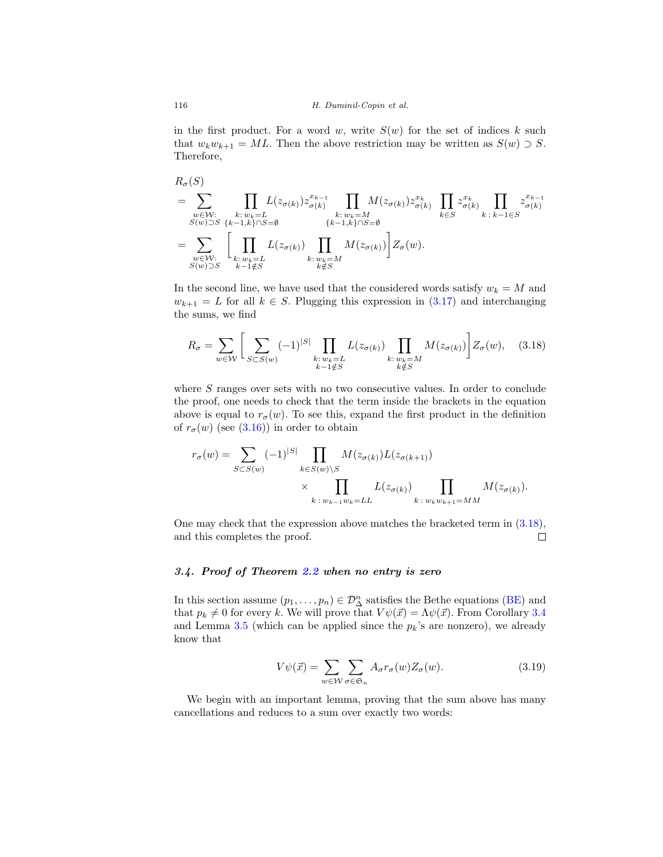in the first product. For a word w, write  $S(w)$  for the set of indices k such that  $w_kw_{k+1} = ML$ . Then the above restriction may be written as  $S(w) \supset S$ . Therefore,

$$
R_{\sigma}(S)
$$
\n
$$
= \sum_{\substack{w \in \mathcal{W}: \\ S(w) \supset S}} \prod_{\substack{k: w_k = L \\ k \in S}} L(z_{\sigma(k)}) z_{\sigma(k)}^{x_{k-1}} \prod_{\substack{k: w_k = M \\ k \in J \\ k \in J}} M(z_{\sigma(k)}) z_{\sigma(k)}^{x_k} \prod_{\substack{k: k \in J \\ k \in S}} z_{\sigma(k)}^{x_k} \prod_{\substack{k: k \in J \\ k \in J \\ k \in J}} z_{\sigma(k)}^{x_{k-1}} \prod_{\substack{k: k \in J \\ k \in J \\ k \in K}} L(z_{\sigma(k)}) \prod_{\substack{k: w_k = M \\ k \notin S}} M(z_{\sigma(k)}) \Big] Z_{\sigma}(w).
$$

In the second line, we have used that the considered words satisfy  $w_k = M$  and  $w_{k+1} = L$  for all  $k \in S$ . Plugging this expression in  $(3.17)$  and interchanging the sums, we find

<span id="page-14-1"></span>
$$
R_{\sigma} = \sum_{w \in \mathcal{W}} \left[ \sum_{S \subset S(w)} (-1)^{|S|} \prod_{\substack{k:\, w_k = L \\ k-1 \notin S}} L(z_{\sigma(k)}) \prod_{\substack{k:\, w_k = M \\ k \notin S}} M(z_{\sigma(k)}) \right] Z_{\sigma}(w), \quad (3.18)
$$

where S ranges over sets with no two consecutive values. In order to conclude the proof, one needs to check that the term inside the brackets in the equation above is equal to  $r_{\sigma}(w)$ . To see this, expand the first product in the definition of  $r_{\sigma}(w)$  (see [\(3.16\)](#page-13-2)) in order to obtain

$$
r_{\sigma}(w) = \sum_{S \subset S(w)} (-1)^{|S|} \prod_{k \in S(w) \setminus S} M(z_{\sigma(k)}) L(z_{\sigma(k+1)})
$$

$$
\times \prod_{k \colon w_{k-1}w_k = LL} L(z_{\sigma(k)}) \prod_{k \colon w_k w_{k+1} = MM} M(z_{\sigma(k)}).
$$

One may check that the expression above matches the bracketed term in [\(3.18\)](#page-14-1), and this completes the proof.  $\Box$ 

# <span id="page-14-0"></span>*3.4. Proof of Theorem [2.2](#page-4-1) when no entry is zero*

In this section assume  $(p_1, \ldots, p_n) \in \mathcal{D}_{\Delta}^n$  satisfies the Bethe equations [\(BE\)](#page-4-2) and that  $p_k \neq 0$  for every k. We will prove that  $V\psi(\vec{x})=\Lambda\psi(\vec{x})$ . From Corollary [3.4](#page-11-4) and Lemma [3.5](#page-13-0) (which can be applied since the  $p_k$ 's are nonzero), we already know that

<span id="page-14-2"></span>
$$
V\psi(\vec{x}) = \sum_{w \in \mathcal{W}} \sum_{\sigma \in \mathfrak{S}_n} A_{\sigma} r_{\sigma}(w) Z_{\sigma}(w).
$$
 (3.19)

We begin with an important lemma, proving that the sum above has many cancellations and reduces to a sum over exactly two words: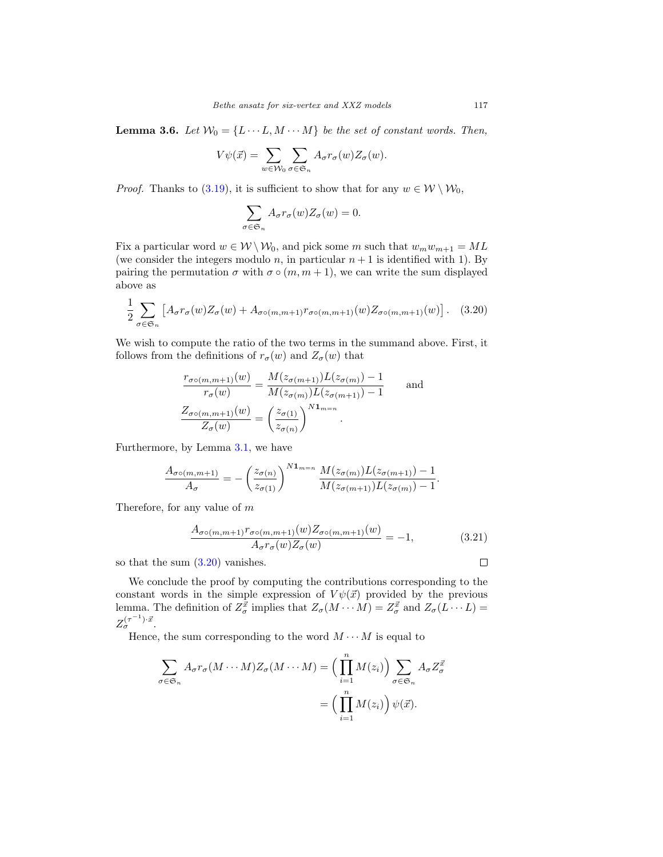<span id="page-15-1"></span>**Lemma 3.6.** Let  $W_0 = \{L \cdots L, M \cdots M\}$  be the set of constant words. Then,

$$
V\psi(\vec{x}) = \sum_{w \in \mathcal{W}_0} \sum_{\sigma \in \mathfrak{S}_n} A_{\sigma} r_{\sigma}(w) Z_{\sigma}(w).
$$

*Proof.* Thanks to [\(3.19\)](#page-14-2), it is sufficient to show that for any  $w \in \mathcal{W} \setminus \mathcal{W}_0$ ,

$$
\sum_{\sigma \in \mathfrak{S}_n} A_{\sigma} r_{\sigma}(w) Z_{\sigma}(w) = 0.
$$

Fix a particular word  $w \in W \backslash W_0$ , and pick some m such that  $w_m w_{m+1} = ML$ (we consider the integers modulo n, in particular  $n+1$  is identified with 1). By pairing the permutation  $\sigma$  with  $\sigma \circ (m, m + 1)$ , we can write the sum displayed above as

<span id="page-15-0"></span>
$$
\frac{1}{2} \sum_{\sigma \in \mathfrak{S}_n} \left[ A_{\sigma} r_{\sigma}(w) Z_{\sigma}(w) + A_{\sigma \circ (m, m+1)} r_{\sigma \circ (m, m+1)}(w) Z_{\sigma \circ (m, m+1)}(w) \right]. \tag{3.20}
$$

We wish to compute the ratio of the two terms in the summand above. First, it follows from the definitions of  $r_{\sigma}(w)$  and  $Z_{\sigma}(w)$  that

$$
\frac{r_{\sigma\circ(m,m+1)}(w)}{r_{\sigma}(w)} = \frac{M(z_{\sigma(m+1)})L(z_{\sigma(m)}) - 1}{M(z_{\sigma(m)})L(z_{\sigma(m+1)}) - 1}
$$
 and  

$$
\frac{Z_{\sigma\circ(m,m+1)}(w)}{Z_{\sigma}(w)} = \left(\frac{z_{\sigma(1)}}{z_{\sigma(n)}}\right)^{N\mathbf{1}_{m=n}}
$$

Furthermore, by Lemma [3.1,](#page-10-4) we have

$$
\frac{A_{\sigma\circ(m,m+1)}}{A_{\sigma}} = -\left(\frac{z_{\sigma(n)}}{z_{\sigma(1)}}\right)^{N\mathbf{1}_{m=n}} \frac{M(z_{\sigma(m)})L(z_{\sigma(m+1)})-1}{M(z_{\sigma(m+1)})L(z_{\sigma(m)})-1}.
$$

Therefore, for any value of m

<span id="page-15-2"></span>
$$
\frac{A_{\sigma\circ(m,m+1)}r_{\sigma\circ(m,m+1)}(w)Z_{\sigma\circ(m,m+1)}(w)}{A_{\sigma}r_{\sigma}(w)Z_{\sigma}(w)} = -1, \tag{3.21}
$$

so that the sum [\(3.20\)](#page-15-0) vanishes.

We conclude the proof by computing the contributions corresponding to the constant words in the simple expression of  $V\psi(\vec{x})$  provided by the previous lemma. The definition of  $Z_{\sigma}^{\vec{x}}$  implies that  $Z_{\sigma}(M \cdots M) = Z_{\sigma}^{\vec{x}}$  and  $Z_{\sigma}(L \cdots L) =$  $Z_{\sigma}^{(\tau^{-1})\cdot \vec{x}}$ .

Hence, the sum corresponding to the word  $M \cdots M$  is equal to

$$
\sum_{\sigma \in \mathfrak{S}_n} A_{\sigma} r_{\sigma} (M \cdots M) Z_{\sigma} (M \cdots M) = \left( \prod_{i=1}^n M(z_i) \right) \sum_{\sigma \in \mathfrak{S}_n} A_{\sigma} Z_{\sigma}^{\vec{x}}
$$

$$
= \left( \prod_{i=1}^n M(z_i) \right) \psi(\vec{x}).
$$

 $\Box$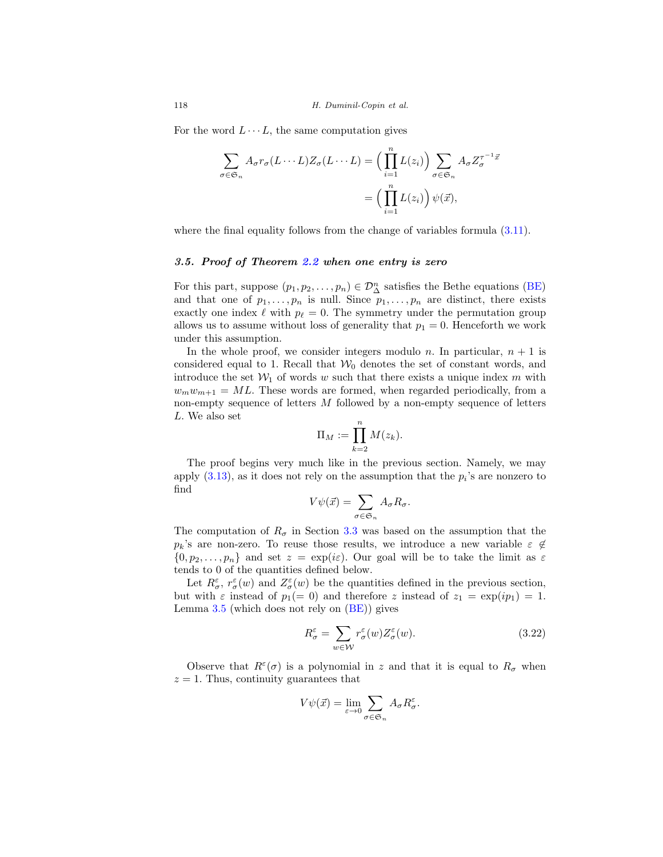For the word  $L \cdots L$ , the same computation gives

$$
\sum_{\sigma \in \mathfrak{S}_n} A_{\sigma} r_{\sigma} (L \cdots L) Z_{\sigma} (L \cdots L) = \left( \prod_{i=1}^n L(z_i) \right) \sum_{\sigma \in \mathfrak{S}_n} A_{\sigma} Z_{\sigma}^{\tau^{-1} \vec{x}}
$$

$$
= \left( \prod_{i=1}^n L(z_i) \right) \psi(\vec{x}),
$$

where the final equality follows from the change of variables formula  $(3.11)$ .

## <span id="page-16-0"></span>*3.5. Proof of Theorem [2.2](#page-4-1) when one entry is zero*

For this part, suppose  $(p_1, p_2, \ldots, p_n) \in \mathcal{D}_{\Delta}^n$  satisfies the Bethe equations [\(BE\)](#page-4-2) and that one of  $p_1, \ldots, p_n$  is null. Since  $p_1, \ldots, p_n$  are distinct, there exists exactly one index  $\ell$  with  $p_{\ell} = 0$ . The symmetry under the permutation group allows us to assume without loss of generality that  $p_1 = 0$ . Henceforth we work under this assumption.

In the whole proof, we consider integers modulo n. In particular,  $n + 1$  is considered equal to 1. Recall that  $\mathcal{W}_0$  denotes the set of constant words, and introduce the set  $W_1$  of words w such that there exists a unique index m with  $w_mw_{m+1} = ML$ . These words are formed, when regarded periodically, from a non-empty sequence of letters  $M$  followed by a non-empty sequence of letters L. We also set

$$
\Pi_M := \prod_{k=2}^n M(z_k).
$$

The proof begins very much like in the previous section. Namely, we may apply  $(3.13)$ , as it does not rely on the assumption that the  $p_i$ 's are nonzero to find

$$
V\psi(\vec{x}) = \sum_{\sigma \in \mathfrak{S}_n} A_{\sigma} R_{\sigma}.
$$

The computation of  $R_{\sigma}$  in Section [3.3](#page-12-0) was based on the assumption that the  $p_k$ 's are non-zero. To reuse those results, we introduce a new variable  $\varepsilon \notin$  $\{0, p_2, \ldots, p_n\}$  and set  $z = \exp(i\varepsilon)$ . Our goal will be to take the limit as  $\varepsilon$ tends to 0 of the quantities defined below.

Let  $R^{\varepsilon}_{\sigma}, r^{\varepsilon}_{\sigma}(w)$  and  $Z^{\varepsilon}_{\sigma}(w)$  be the quantities defined in the previous section, but with  $\varepsilon$  instead of  $p_1(= 0)$  and therefore z instead of  $z_1 = \exp(ip_1) = 1$ . Lemma [3.5](#page-13-0) (which does not rely on [\(BE\)](#page-4-2)) gives

<span id="page-16-1"></span>
$$
R^{\varepsilon}_{\sigma} = \sum_{w \in \mathcal{W}} r^{\varepsilon}_{\sigma}(w) Z^{\varepsilon}_{\sigma}(w).
$$
 (3.22)

Observe that  $R^{\varepsilon}(\sigma)$  is a polynomial in z and that it is equal to  $R_{\sigma}$  when  $z = 1$ . Thus, continuity guarantees that

$$
V\psi(\vec{x}) = \lim_{\varepsilon \to 0} \sum_{\sigma \in \mathfrak{S}_n} A_{\sigma} R_{\sigma}^{\varepsilon}.
$$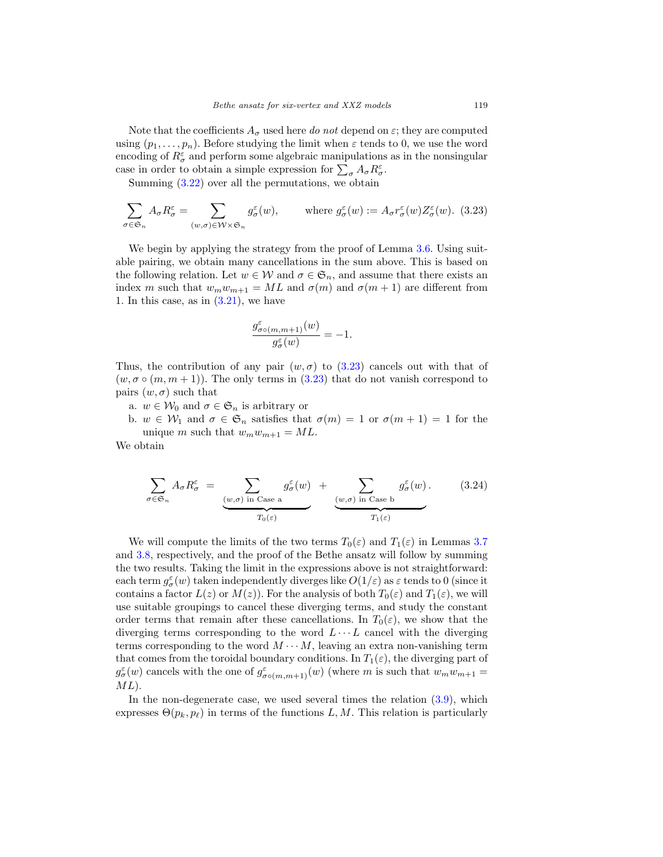Note that the coefficients  $A_{\sigma}$  used here do not depend on  $\varepsilon$ ; they are computed using  $(p_1, \ldots, p_n)$ . Before studying the limit when  $\varepsilon$  tends to 0, we use the word encoding of  $R^{\varepsilon}_{\sigma}$  and perform some algebraic manipulations as in the nonsingular case in order to obtain a simple expression for  $\sum_{\sigma} A_{\sigma} R_{\sigma}^{\varepsilon}$ .

Summing  $(3.22)$  over all the permutations, we obtain

<span id="page-17-0"></span>
$$
\sum_{\sigma \in \mathfrak{S}_n} A_{\sigma} R_{\sigma}^{\varepsilon} = \sum_{(w,\sigma) \in \mathcal{W} \times \mathfrak{S}_n} g_{\sigma}^{\varepsilon}(w), \qquad \text{where } g_{\sigma}^{\varepsilon}(w) := A_{\sigma} r_{\sigma}^{\varepsilon}(w) Z_{\sigma}^{\varepsilon}(w). \tag{3.23}
$$

We begin by applying the strategy from the proof of Lemma [3.6.](#page-15-1) Using suitable pairing, we obtain many cancellations in the sum above. This is based on the following relation. Let  $w \in \mathcal{W}$  and  $\sigma \in \mathfrak{S}_n$ , and assume that there exists an index m such that  $w_m w_{m+1} = ML$  and  $\sigma(m)$  and  $\sigma(m+1)$  are different from 1. In this case, as in  $(3.21)$ , we have

$$
\frac{g_{\sigma\circ(m,m+1)}^\varepsilon(w)}{g_\sigma^\varepsilon(w)}=-1.
$$

Thus, the contribution of any pair  $(w, \sigma)$  to  $(3.23)$  cancels out with that of  $(w, \sigma \circ (m, m + 1))$ . The only terms in [\(3.23\)](#page-17-0) that do not vanish correspond to pairs  $(w, \sigma)$  such that

a.  $w \in \mathcal{W}_0$  and  $\sigma \in \mathfrak{S}_n$  is arbitrary or

b.  $w \in \mathcal{W}_1$  and  $\sigma \in \mathfrak{S}_n$  satisfies that  $\sigma(m) = 1$  or  $\sigma(m+1) = 1$  for the unique m such that  $w_mw_{m+1} = ML$ .

We obtain

$$
\sum_{\sigma \in \mathfrak{S}_n} A_{\sigma} R_{\sigma}^{\varepsilon} = \underbrace{\sum_{(w,\sigma) \text{ in Case a}} g_{\sigma}^{\varepsilon}(w)}_{T_0(\varepsilon)} + \underbrace{\sum_{(w,\sigma) \text{ in Case b}} g_{\sigma}^{\varepsilon}(w)}_{T_1(\varepsilon)}.
$$
 (3.24)

We will compute the limits of the two terms  $T_0(\varepsilon)$  and  $T_1(\varepsilon)$  in Lemmas [3.7](#page-18-0) and [3.8,](#page-19-0) respectively, and the proof of the Bethe ansatz will follow by summing the two results. Taking the limit in the expressions above is not straightforward: each term  $g_{\sigma}^{\varepsilon}(w)$  taken independently diverges like  $O(1/\varepsilon)$  as  $\varepsilon$  tends to 0 (since it contains a factor  $L(z)$  or  $M(z)$ ). For the analysis of both  $T_0(\varepsilon)$  and  $T_1(\varepsilon)$ , we will use suitable groupings to cancel these diverging terms, and study the constant order terms that remain after these cancellations. In  $T_0(\varepsilon)$ , we show that the diverging terms corresponding to the word  $L \cdots L$  cancel with the diverging terms corresponding to the word  $M \cdots M$ , leaving an extra non-vanishing term that comes from the toroidal boundary conditions. In  $T_1(\varepsilon)$ , the diverging part of  $g_{\sigma}^{\varepsilon}(w)$  cancels with the one of  $g_{\sigma o(m,m+1)}^{\varepsilon}(w)$  (where m is such that  $w_m w_{m+1} =$  $ML$ ).

In the non-degenerate case, we used several times the relation [\(3.9\)](#page-10-1), which expresses  $\Theta(p_k, p_\ell)$  in terms of the functions L, M. This relation is particularly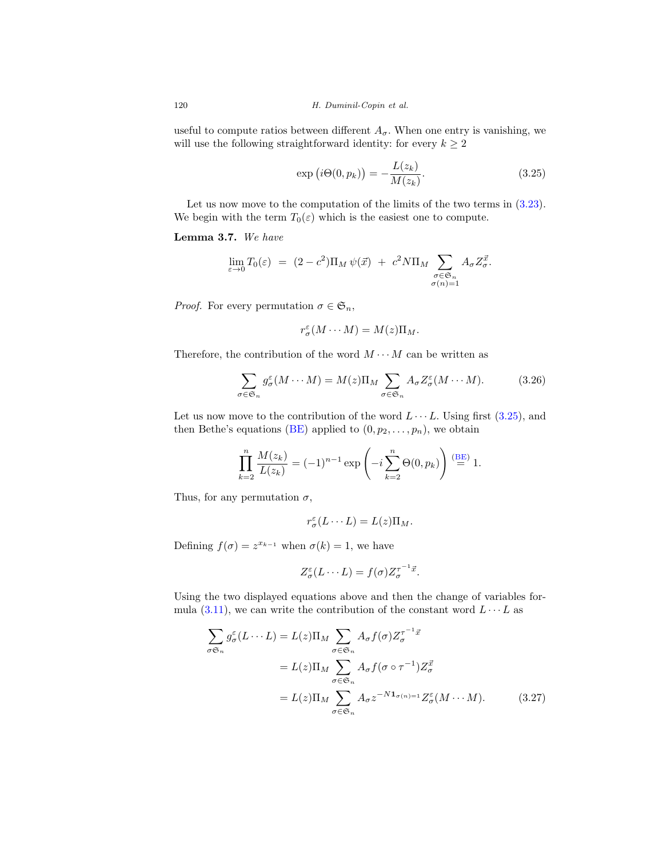useful to compute ratios between different  $A_{\sigma}$ . When one entry is vanishing, we will use the following straightforward identity: for every  $k \geq 2$ 

<span id="page-18-1"></span>
$$
\exp(i\Theta(0, p_k)) = -\frac{L(z_k)}{M(z_k)}.\t(3.25)
$$

Let us now move to the computation of the limits of the two terms in  $(3.23)$ . We begin with the term  $T_0(\varepsilon)$  which is the easiest one to compute.

# <span id="page-18-0"></span>**Lemma 3.7.** We have

$$
\lim_{\varepsilon \to 0} T_0(\varepsilon) = (2 - c^2) \Pi_M \psi(\vec{x}) + c^2 N \Pi_M \sum_{\substack{\sigma \in \mathfrak{S}_n \\ \sigma(n) = 1}} A_{\sigma} Z_{\sigma}^{\vec{x}}.
$$

*Proof.* For every permutation  $\sigma \in \mathfrak{S}_n$ ,

$$
r^{\varepsilon}_{\sigma}(M\cdots M)=M(z)\Pi_M.
$$

Therefore, the contribution of the word  $M \cdots M$  can be written as

<span id="page-18-2"></span>
$$
\sum_{\sigma \in \mathfrak{S}_n} g_{\sigma}^{\varepsilon}(M \cdots M) = M(z) \Pi_M \sum_{\sigma \in \mathfrak{S}_n} A_{\sigma} Z_{\sigma}^{\varepsilon}(M \cdots M). \tag{3.26}
$$

Let us now move to the contribution of the word  $L \cdots L$ . Using first [\(3.25\)](#page-18-1), and then Bethe's equations [\(BE\)](#page-4-2) applied to  $(0, p_2, \ldots, p_n)$ , we obtain

$$
\prod_{k=2}^{n} \frac{M(z_k)}{L(z_k)} = (-1)^{n-1} \exp\left(-i \sum_{k=2}^{n} \Theta(0, p_k)\right) \stackrel{\text{(BE)}}{=} 1.
$$

Thus, for any permutation  $\sigma$ ,

$$
r_{\sigma}^{\varepsilon}(L\cdots L)=L(z)\Pi_{M}.
$$

Defining  $f(\sigma) = z^{x_{k-1}}$  when  $\sigma(k) = 1$ , we have

<span id="page-18-3"></span>
$$
Z_{\sigma}^{\varepsilon}(L\cdots L)=f(\sigma)Z_{\sigma}^{\tau^{-1}\vec{x}}.
$$

Using the two displayed equations above and then the change of variables formula  $(3.11)$ , we can write the contribution of the constant word  $L \cdots L$  as

$$
\sum_{\sigma \in \sigma_n} g_{\sigma}^{\varepsilon} (L \cdots L) = L(z) \Pi_M \sum_{\sigma \in \mathfrak{S}_n} A_{\sigma} f(\sigma) Z_{\sigma}^{\tau^{-1} \vec{x}}
$$
  

$$
= L(z) \Pi_M \sum_{\sigma \in \mathfrak{S}_n} A_{\sigma} f(\sigma \circ \tau^{-1}) Z_{\sigma}^{\vec{x}}
$$
  

$$
= L(z) \Pi_M \sum_{\sigma \in \mathfrak{S}_n} A_{\sigma} z^{-N \mathbf{1}_{\sigma(n)=1}} Z_{\sigma}^{\varepsilon} (M \cdots M). \tag{3.27}
$$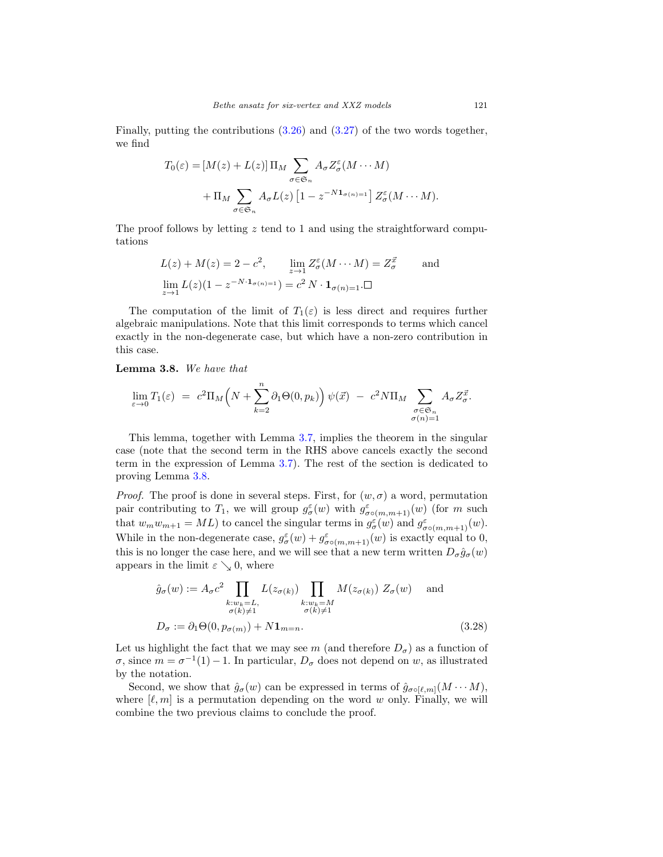Finally, putting the contributions [\(3.26\)](#page-18-2) and [\(3.27\)](#page-18-3) of the two words together, we find

$$
T_0(\varepsilon) = [M(z) + L(z)] \Pi_M \sum_{\sigma \in \mathfrak{S}_n} A_{\sigma} Z_{\sigma}^{\varepsilon} (M \cdots M)
$$

$$
+ \Pi_M \sum_{\sigma \in \mathfrak{S}_n} A_{\sigma} L(z) [1 - z^{-N \mathbf{1}_{\sigma(n)=1}}] Z_{\sigma}^{\varepsilon} (M \cdots M).
$$

The proof follows by letting  $z$  tend to 1 and using the straightforward computations

$$
L(z) + M(z) = 2 - c^2, \qquad \lim_{z \to 1} Z_{\sigma}^{\varepsilon}(M \cdots M) = Z_{\sigma}^{\overline{x}} \qquad \text{and}
$$

$$
\lim_{z \to 1} L(z)(1 - z^{-N \cdot 1_{\sigma(n)=1}}) = c^2 N \cdot 1_{\sigma(n)=1} \square
$$

The computation of the limit of  $T_1(\varepsilon)$  is less direct and requires further algebraic manipulations. Note that this limit corresponds to terms which cancel exactly in the non-degenerate case, but which have a non-zero contribution in this case.

<span id="page-19-0"></span>**Lemma 3.8.** We have that

$$
\lim_{\varepsilon \to 0} T_1(\varepsilon) = c^2 \Pi_M \left( N + \sum_{k=2}^n \partial_1 \Theta(0, p_k) \right) \psi(\vec{x}) - c^2 N \Pi_M \sum_{\substack{\sigma \in \mathfrak{S}_n \\ \sigma(n) = 1}} A_{\sigma} Z_{\sigma}^{\vec{x}}.
$$

This lemma, together with Lemma [3.7,](#page-18-0) implies the theorem in the singular case (note that the second term in the RHS above cancels exactly the second term in the expression of Lemma [3.7\)](#page-18-0). The rest of the section is dedicated to proving Lemma [3.8.](#page-19-0)

*Proof.* The proof is done in several steps. First, for  $(w, \sigma)$  a word, permutation pair contributing to  $T_1$ , we will group  $g_{\sigma}^{\varepsilon}(w)$  with  $g_{\sigma \circ (m,m+1)}^{\varepsilon}(w)$  (for m such that  $w_m w_{m+1} = ML$ ) to cancel the singular terms in  $g_{\sigma(w)}^{\varepsilon(w)}$  and  $g_{\sigma(w,m+1)}^{\varepsilon(w)}(w)$ . While in the non-degenerate case,  $g_{\sigma}^{\varepsilon}(w) + g_{\sigma \circ (m,m+1)}^{\varepsilon}(w)$  is exactly equal to 0, this is no longer the case here, and we will see that a new term written  $D_{\sigma} \hat{g}_{\sigma}(w)$ appears in the limit  $\varepsilon \searrow 0$ , where

<span id="page-19-1"></span>
$$
\hat{g}_{\sigma}(w) := A_{\sigma} c^2 \prod_{\substack{k:w_k=L, \\ \sigma(k)\neq 1}} L(z_{\sigma(k)}) \prod_{\substack{k:w_k=M \\ \sigma(k)\neq 1}} M(z_{\sigma(k)}) Z_{\sigma}(w) \text{ and}
$$
\n
$$
D_{\sigma} := \partial_1 \Theta(0, p_{\sigma(m)}) + N \mathbf{1}_{m=n}.
$$
\n(3.28)

Let us highlight the fact that we may see m (and therefore  $D_{\sigma}$ ) as a function of  $\sigma$ , since  $m = \sigma^{-1}(1) - 1$ . In particular,  $D_{\sigma}$  does not depend on w, as illustrated by the notation.

Second, we show that  $\hat{g}_{\sigma}(w)$  can be expressed in terms of  $\hat{g}_{\sigma \circ [\ell,m]}(M \cdots M)$ , where  $[\ell, m]$  is a permutation depending on the word w only. Finally, we will combine the two previous claims to conclude the proof.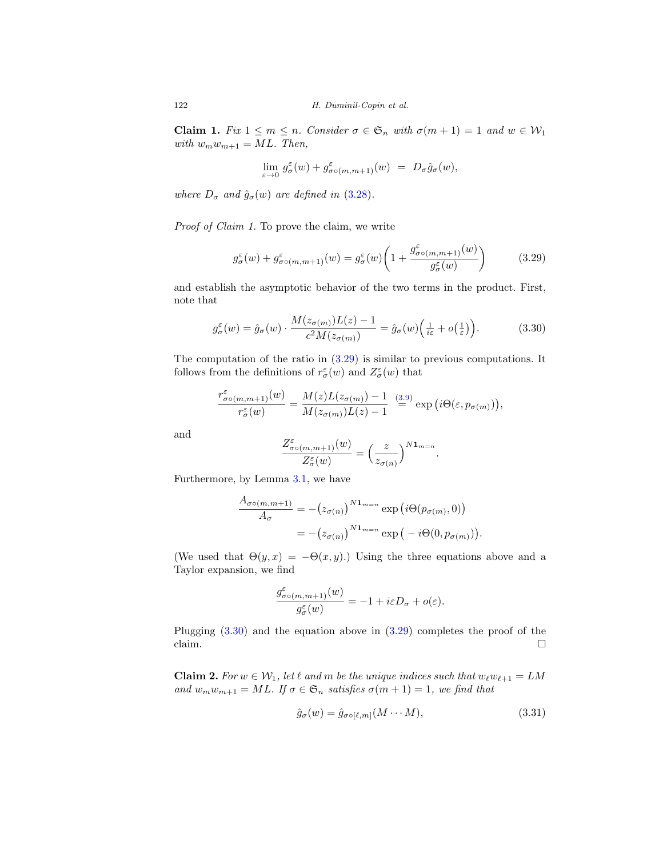**Claim 1.** Fix  $1 \leq m \leq n$ . Consider  $\sigma \in \mathfrak{S}_n$  with  $\sigma(m+1) = 1$  and  $w \in \mathcal{W}_1$ with  $w_mw_{m+1} = ML$ . Then,

$$
\lim_{\varepsilon\to 0}\,g^{\varepsilon}_{\sigma}(w)+g^{\varepsilon}_{\sigma\circ(m,m+1)}(w) \;=\; D_{\sigma}\hat{g}_{\sigma}(w),
$$

where  $D_{\sigma}$  and  $\hat{g}_{\sigma}(w)$  are defined in [\(3.28\)](#page-19-1).

Proof of Claim 1. To prove the claim, we write

<span id="page-20-0"></span>
$$
g_{\sigma}^{\varepsilon}(w) + g_{\sigma o(m,m+1)}^{\varepsilon}(w) = g_{\sigma}^{\varepsilon}(w) \left( 1 + \frac{g_{\sigma o(m,m+1)}^{\varepsilon}(w)}{g_{\sigma}^{\varepsilon}(w)} \right) \tag{3.29}
$$

and establish the asymptotic behavior of the two terms in the product. First, note that

<span id="page-20-1"></span>
$$
g_{\sigma}^{\varepsilon}(w) = \hat{g}_{\sigma}(w) \cdot \frac{M(z_{\sigma(m)})L(z) - 1}{c^2 M(z_{\sigma(m)})} = \hat{g}_{\sigma}(w) \left(\frac{1}{i\varepsilon} + o\left(\frac{1}{\varepsilon}\right)\right).
$$
 (3.30)

The computation of the ratio in  $(3.29)$  is similar to previous computations. It follows from the definitions of  $r^{\varepsilon}_{\sigma}(w)$  and  $Z^{\varepsilon}_{\sigma}(w)$  that

$$
\frac{r^{\varepsilon}_{\sigma\circ(m,m+1)}(w)}{r^{\varepsilon}_{\sigma}(w)}=\frac{M(z)L(z_{\sigma(m)})-1}{M(z_{\sigma(m)})L(z)-1}\;\overset{\text{(3.9)}}{=}\exp\big(i\Theta(\varepsilon,p_{\sigma(m)})\big),
$$

and

$$
\frac{Z^\varepsilon_{\sigma\circ(m,m+1)}(w)}{Z^\varepsilon_\sigma(w)}=\Big(\frac{z}{z_{\sigma(n)}}\Big)^{N\mathbf{1}_{m=n}}.
$$

Furthermore, by Lemma [3.1,](#page-10-4) we have

$$
\frac{A_{\sigma\circ(m,m+1)}}{A_{\sigma}} = -(z_{\sigma(n)})^{N\mathbf{1}_{m=n}} \exp(i\Theta(p_{\sigma(m)}, 0))
$$

$$
= -(z_{\sigma(n)})^{N\mathbf{1}_{m=n}} \exp(-i\Theta(0, p_{\sigma(m)}))
$$

(We used that  $\Theta(y, x) = -\Theta(x, y)$ .) Using the three equations above and a Taylor expansion, we find

$$
\frac{g^{\varepsilon}_{\sigma\circ(m,m+1)}(w)}{g^{\varepsilon}_{\sigma}(w)}=-1+i\varepsilon D_{\sigma}+o(\varepsilon).
$$

Plugging  $(3.30)$  and the equation above in  $(3.29)$  completes the proof of the claim.  $\Box$  $\Box$ 

**Claim 2.** For  $w \in W_1$ , let  $\ell$  and  $m$  be the unique indices such that  $w_{\ell}w_{\ell+1} = LM$ and  $w_mw_{m+1} = ML$ . If  $\sigma \in \mathfrak{S}_n$  satisfies  $\sigma(m+1) = 1$ , we find that

$$
\hat{g}_{\sigma}(w) = \hat{g}_{\sigma \circ [\ell,m]}(M \cdots M),\tag{3.31}
$$

.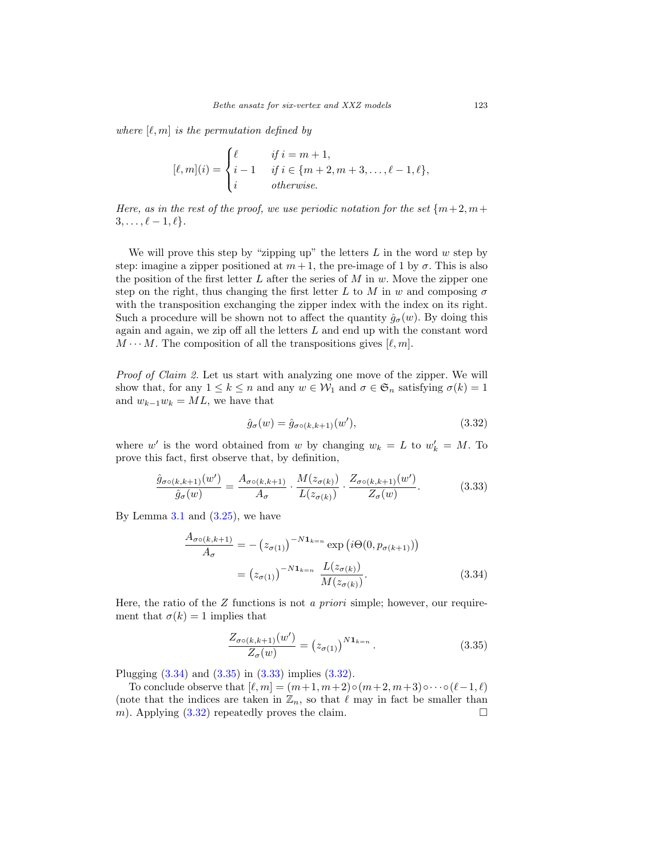where  $[\ell, m]$  is the permutation defined by

$$
[\ell,m](i) = \begin{cases} \ell & \text{if } i = m+1, \\ i-1 & \text{if } i \in \{m+2, m+3, \dots, \ell-1, \ell\}, \\ i & \text{otherwise.} \end{cases}
$$

Here, as in the rest of the proof, we use periodic notation for the set  ${m+2, m+$  $3, \ldots, \ell - 1, \ell$ .

We will prove this step by "zipping up" the letters  $L$  in the word  $w$  step by step: imagine a zipper positioned at  $m+1$ , the pre-image of 1 by  $\sigma$ . This is also the position of the first letter  $L$  after the series of  $M$  in  $w$ . Move the zipper one step on the right, thus changing the first letter L to M in w and composing  $\sigma$ with the transposition exchanging the zipper index with the index on its right. Such a procedure will be shown not to affect the quantity  $\hat{g}_{\sigma}(w)$ . By doing this again and again, we zip off all the letters  $L$  and end up with the constant word  $M \cdots M$ . The composition of all the transpositions gives  $[\ell, m]$ .

Proof of Claim 2. Let us start with analyzing one move of the zipper. We will show that, for any  $1 \leq k \leq n$  and any  $w \in \mathcal{W}_1$  and  $\sigma \in \mathfrak{S}_n$  satisfying  $\sigma(k)=1$ and  $w_{k-1}w_k = ML$ , we have that

<span id="page-21-3"></span>
$$
\hat{g}_{\sigma}(w) = \hat{g}_{\sigma \circ (k,k+1)}(w'),\tag{3.32}
$$

where w' is the word obtained from w by changing  $w_k = L$  to  $w'_k = M$ . To prove this fact, first observe that, by definition,

<span id="page-21-2"></span>
$$
\frac{\hat{g}_{\sigma\circ(k,k+1)}(w')}{\hat{g}_{\sigma}(w)} = \frac{A_{\sigma\circ(k,k+1)}}{A_{\sigma}} \cdot \frac{M(z_{\sigma(k)})}{L(z_{\sigma(k)})} \cdot \frac{Z_{\sigma\circ(k,k+1)}(w')}{Z_{\sigma}(w)}.\tag{3.33}
$$

By Lemma  $3.1$  and  $(3.25)$ , we have

$$
\frac{A_{\sigma\circ(k,k+1)}}{A_{\sigma}} = -\left(z_{\sigma(1)}\right)^{-N\mathbf{1}_{k=n}} \exp\left(i\Theta(0, p_{\sigma(k+1)})\right)
$$
\n
$$
= \left(z_{\sigma(1)}\right)^{-N\mathbf{1}_{k=n}} \frac{L(z_{\sigma(k)})}{M(z_{\sigma(k)})}.\tag{3.34}
$$

Here, the ratio of the  $Z$  functions is not *a priori* simple; however, our requirement that  $\sigma(k) = 1$  implies that

<span id="page-21-1"></span><span id="page-21-0"></span>
$$
\frac{Z_{\sigma o(k,k+1)}(w')}{Z_{\sigma}(w)} = (z_{\sigma(1)})^{N \mathbf{1}_{k=n}}.
$$
\n(3.35)

Plugging [\(3.34\)](#page-21-0) and [\(3.35\)](#page-21-1) in [\(3.33\)](#page-21-2) implies [\(3.32\)](#page-21-3).

To conclude observe that  $[\ell, m] = (m+1, m+2)いcirc(m+2, m+3) \circ \cdots \circ (\ell-1, \ell)$ (note that the indices are taken in  $\mathbb{Z}_n$ , so that  $\ell$  may in fact be smaller than m). Applying  $(3.32)$  repeatedly proves the claim.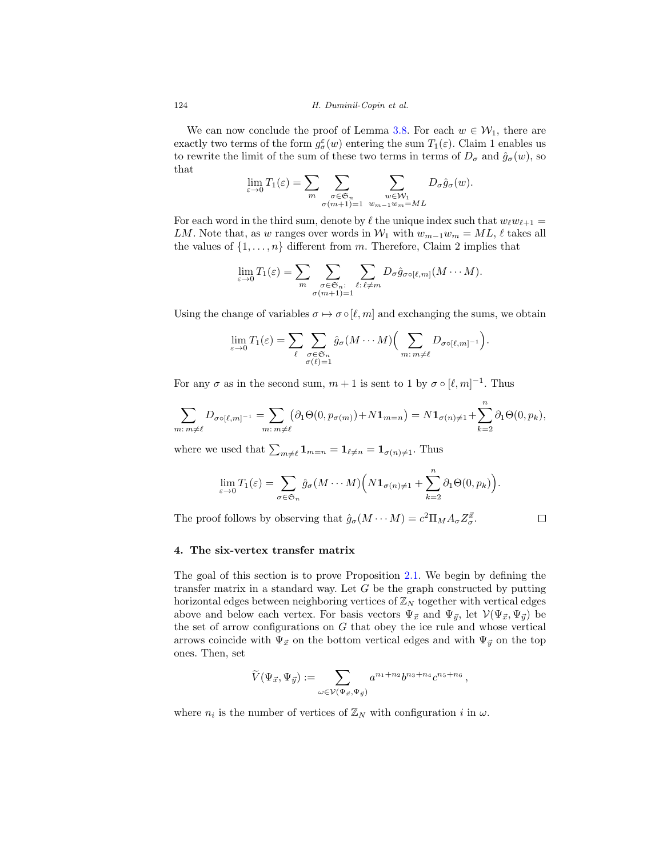We can now conclude the proof of Lemma [3.8.](#page-19-0) For each  $w \in \mathcal{W}_1$ , there are exactly two terms of the form  $g_{\sigma}^{\varepsilon}(w)$  entering the sum  $T_1(\varepsilon)$ . Claim 1 enables us to rewrite the limit of the sum of these two terms in terms of  $D_{\sigma}$  and  $\hat{g}_{\sigma}(w)$ , so that

$$
\lim_{\varepsilon \to 0} T_1(\varepsilon) = \sum_m \sum_{\substack{\sigma \in \mathfrak{S}_n \\ \sigma(m+1)=1}} \sum_{\substack{w \in \mathcal{W}_1 \\ w_{m-1}w_m = ML}} D_{\sigma} \hat{g}_{\sigma}(w).
$$

For each word in the third sum, denote by  $\ell$  the unique index such that  $w_{\ell}w_{\ell+1} =$ LM. Note that, as w ranges over words in  $W_1$  with  $w_{m-1}w_m = ML$ ,  $\ell$  takes all the values of  $\{1,\ldots,n\}$  different from m. Therefore, Claim 2 implies that

$$
\lim_{\varepsilon \to 0} T_1(\varepsilon) = \sum_m \sum_{\substack{\sigma \in \mathfrak{S}_n : \\ \sigma(m+1)=1}} \sum_{\ell : \ell \neq m} D_{\sigma} \hat{g}_{\sigma \circ [\ell,m]}(M \cdots M).
$$

Using the change of variables  $\sigma \mapsto \sigma \circ [\ell, m]$  and exchanging the sums, we obtain

$$
\lim_{\varepsilon \to 0} T_1(\varepsilon) = \sum_{\ell} \sum_{\substack{\sigma \in \mathfrak{S}_n \\ \sigma(\ell) = 1}} \hat{g}_{\sigma}(M \cdots M) \Big(\sum_{m \colon m \neq \ell} D_{\sigma \circ [\ell, m]^{-1}}\Big).
$$

For any  $\sigma$  as in the second sum,  $m + 1$  is sent to 1 by  $\sigma \circ [\ell, m]^{-1}$ . Thus

$$
\sum_{m:\,m\neq\ell}D_{\sigma\circ[\ell,m]^{-1}}=\sum_{m:\,m\neq\ell}(\partial_1\Theta(0,p_{\sigma(m)})+N\mathbf{1}_{m=n})=N\mathbf{1}_{\sigma(n)\neq\ell}+\sum_{k=2}^n\partial_1\Theta(0,p_k),
$$

where we used that  $\sum_{m \neq \ell} \mathbf{1}_{m=n} = \mathbf{1}_{\ell \neq n} = \mathbf{1}_{\sigma(n) \neq 1}$ . Thus

$$
\lim_{\varepsilon \to 0} T_1(\varepsilon) = \sum_{\sigma \in \mathfrak{S}_n} \hat{g}_{\sigma}(M \cdots M) \Big(N \mathbf{1}_{\sigma(n) \neq 1} + \sum_{k=2}^n \partial_1 \Theta(0, p_k)\Big).
$$

The proof follows by observing that  $\hat{g}_{\sigma}(M \cdots M) = c^2 \Pi_M A_{\sigma} Z_{\sigma}^{\vec{x}}$ .

$$
\Box
$$

#### <span id="page-22-0"></span>**4. The six-vertex transfer matrix**

The goal of this section is to prove Proposition [2.1.](#page-3-0) We begin by defining the transfer matrix in a standard way. Let  $G$  be the graph constructed by putting horizontal edges between neighboring vertices of  $\mathbb{Z}_N$  together with vertical edges above and below each vertex. For basis vectors  $\Psi_{\vec{x}}$  and  $\Psi_{\vec{y}}$ , let  $V(\Psi_{\vec{x}}, \Psi_{\vec{y}})$  be the set of arrow configurations on  $G$  that obey the ice rule and whose vertical arrows coincide with  $\Psi_{\vec{x}}$  on the bottom vertical edges and with  $\Psi_{\vec{y}}$  on the top ones. Then, set

$$
\widetilde{V}(\Psi_{\vec{x}},\Psi_{\vec{y}}):=\sum_{\omega\in\mathcal{V}(\Psi_{\vec{x}},\Psi_{\vec{y}})}a^{n_1+n_2}b^{n_3+n_4}c^{n_5+n_6}\,,
$$

where  $n_i$  is the number of vertices of  $\mathbb{Z}_N$  with configuration i in  $\omega$ .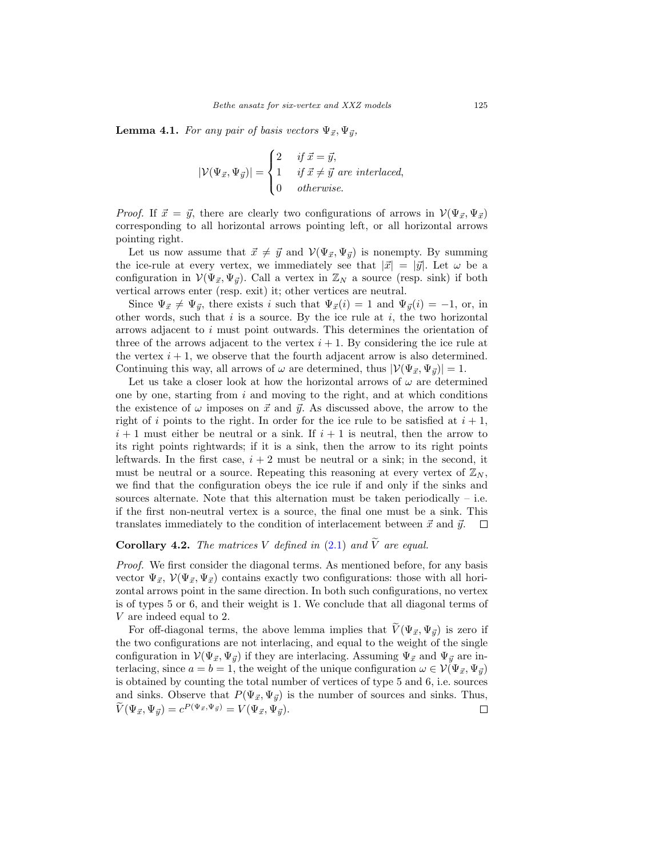<span id="page-23-0"></span>**Lemma 4.1.** For any pair of basis vectors  $\Psi_{\vec{x}}, \Psi_{\vec{y}},$ 

$$
|\mathcal{V}(\Psi_{\vec{x}}, \Psi_{\vec{y}})| = \begin{cases} 2 & \text{if } \vec{x} = \vec{y}, \\ 1 & \text{if } \vec{x} \neq \vec{y} \text{ are interlaced,} \\ 0 & \text{otherwise.} \end{cases}
$$

*Proof.* If  $\vec{x} = \vec{y}$ , there are clearly two configurations of arrows in  $V(\Psi_{\vec{x}}, \Psi_{\vec{x}})$ corresponding to all horizontal arrows pointing left, or all horizontal arrows pointing right.

Let us now assume that  $\vec{x} \neq \vec{y}$  and  $\mathcal{V}(\Psi_{\vec{x}}, \Psi_{\vec{y}})$  is nonempty. By summing the ice-rule at every vertex, we immediately see that  $|\vec{x}| = |\vec{y}|$ . Let  $\omega$  be a configuration in  $V(\Psi_{\vec{x}}, \Psi_{\vec{y}})$ . Call a vertex in  $\mathbb{Z}_N$  a source (resp. sink) if both vertical arrows enter (resp. exit) it; other vertices are neutral.

Since  $\Psi_{\vec{x}} \neq \Psi_{\vec{y}}$ , there exists i such that  $\Psi_{\vec{x}}(i) = 1$  and  $\Psi_{\vec{y}}(i) = -1$ , or, in other words, such that  $i$  is a source. By the ice rule at  $i$ , the two horizontal arrows adjacent to i must point outwards. This determines the orientation of three of the arrows adjacent to the vertex  $i + 1$ . By considering the ice rule at the vertex  $i + 1$ , we observe that the fourth adjacent arrow is also determined. Continuing this way, all arrows of  $\omega$  are determined, thus  $|\mathcal{V}(\Psi_{\vec{x}}, \Psi_{\vec{y}})| = 1$ .

Let us take a closer look at how the horizontal arrows of  $\omega$  are determined one by one, starting from  $i$  and moving to the right, and at which conditions the existence of  $\omega$  imposes on  $\vec{x}$  and  $\vec{y}$ . As discussed above, the arrow to the right of i points to the right. In order for the ice rule to be satisfied at  $i + 1$ ,  $i + 1$  must either be neutral or a sink. If  $i + 1$  is neutral, then the arrow to its right points rightwards; if it is a sink, then the arrow to its right points leftwards. In the first case,  $i + 2$  must be neutral or a sink; in the second, it must be neutral or a source. Repeating this reasoning at every vertex of  $\mathbb{Z}_N$ , we find that the configuration obeys the ice rule if and only if the sinks and sources alternate. Note that this alternation must be taken periodically  $-$  i.e. if the first non-neutral vertex is a source, the final one must be a sink. This translates immediately to the condition of interlacement between  $\vec{x}$  and  $\vec{y}$ .  $\Box$ 

# **Corollary 4.2.** The matrices V defined in  $(2.1)$  and  $\tilde{V}$  are equal.

Proof. We first consider the diagonal terms. As mentioned before, for any basis vector  $\Psi_{\vec{x}}, \mathcal{V}(\Psi_{\vec{x}}, \Psi_{\vec{x}})$  contains exactly two configurations: those with all horizontal arrows point in the same direction. In both such configurations, no vertex is of types 5 or 6, and their weight is 1. We conclude that all diagonal terms of V are indeed equal to 2.

For off-diagonal terms, the above lemma implies that  $V(\Psi_{\vec{x}}, \Psi_{\vec{y}})$  is zero if the two configurations are not interlacing, and equal to the weight of the single configuration in  $\mathcal{V}(\Psi_{\vec{x}}, \Psi_{\vec{y}})$  if they are interlacing. Assuming  $\Psi_{\vec{x}}$  and  $\Psi_{\vec{y}}$  are interlacing, since  $a = b = 1$ , the weight of the unique configuration  $\omega \in \mathcal{V}(\Psi_{\vec{x}}, \Psi_{\vec{y}})$ is obtained by counting the total number of vertices of type 5 and 6, i.e. sources and sinks. Observe that  $P(\Psi_{\vec{x}}, \Psi_{\vec{y}})$  is the number of sources and sinks. Thus,  $\tilde{V}(\Psi_{\vec{x}}, \Psi_{\vec{y}}) = c^{P(\Psi_{\vec{x}}, \Psi_{\vec{y}})} = V(\Psi_{\vec{x}}, \Psi_{\vec{y}}).$  $\Box$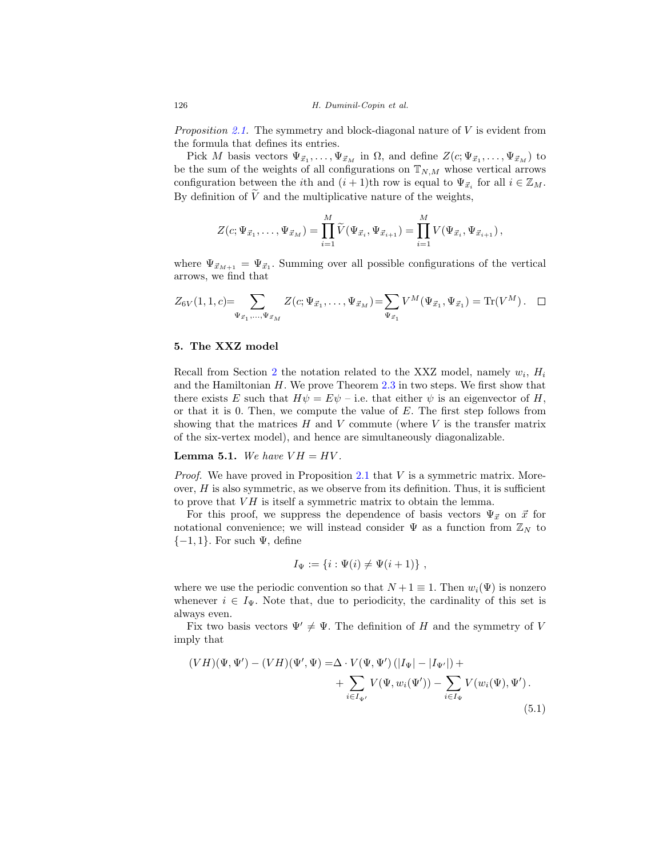*Proposition [2.1.](#page-3-0)* The symmetry and block-diagonal nature of  $V$  is evident from the formula that defines its entries.

Pick M basis vectors  $\Psi_{\vec{x}_1}, \ldots, \Psi_{\vec{x}_M}$  in  $\Omega$ , and define  $Z(c; \Psi_{\vec{x}_1}, \ldots, \Psi_{\vec{x}_M})$  to be the sum of the weights of all configurations on  $\mathbb{T}_{N,M}$  whose vertical arrows configuration between the *i*th and  $(i + 1)$ th row is equal to  $\Psi_{\vec{x}_i}$  for all  $i \in \mathbb{Z}_M$ . By definition of  $\tilde{V}$  and the multiplicative nature of the weights,

$$
Z(c; \Psi_{\vec{x}_1}, \dots, \Psi_{\vec{x}_M}) = \prod_{i=1}^M \widetilde{V}(\Psi_{\vec{x}_i}, \Psi_{\vec{x}_{i+1}}) = \prod_{i=1}^M V(\Psi_{\vec{x}_i}, \Psi_{\vec{x}_{i+1}}),
$$

where  $\Psi_{\vec{x}_{M+1}} = \Psi_{\vec{x}_1}$ . Summing over all possible configurations of the vertical arrows, we find that

$$
Z_{6V}(1,1,c) = \sum_{\Psi_{\vec{x}_1},...,\Psi_{\vec{x}_M}} Z(c;\Psi_{\vec{x}_1},...,\Psi_{\vec{x}_M}) = \sum_{\Psi_{\vec{x}_1}} V^M(\Psi_{\vec{x}_1},\Psi_{\vec{x}_1}) = \text{Tr}(V^M). \quad \Box
$$

# <span id="page-24-0"></span>**5. The XXZ model**

Recall from Section [2](#page-2-0) the notation related to the XXZ model, namely  $w_i$ ,  $H_i$ and the Hamiltonian  $H$ . We prove Theorem [2.3](#page-7-1) in two steps. We first show that there exists E such that  $H\psi = E\psi$  – i.e. that either  $\psi$  is an eigenvector of H, or that it is 0. Then, we compute the value of  $E$ . The first step follows from showing that the matrices  $H$  and  $V$  commute (where  $V$  is the transfer matrix of the six-vertex model), and hence are simultaneously diagonalizable.

# <span id="page-24-2"></span>**Lemma 5.1.** We have  $VH = HV$ .

*Proof.* We have proved in Proposition  $2.1$  that V is a symmetric matrix. Moreover,  $H$  is also symmetric, as we observe from its definition. Thus, it is sufficient to prove that  $VH$  is itself a symmetric matrix to obtain the lemma.

For this proof, we suppress the dependence of basis vectors  $\Psi_{\vec{x}}$  on  $\vec{x}$  for notational convenience; we will instead consider  $\Psi$  as a function from  $\mathbb{Z}_N$  to  $\{-1, 1\}$ . For such  $\Psi$ , define

<span id="page-24-1"></span>
$$
I_{\Psi} := \{i : \Psi(i) \neq \Psi(i+1)\},\,
$$

where we use the periodic convention so that  $N+1 \equiv 1$ . Then  $w_i(\Psi)$  is nonzero whenever  $i \in I_{\Psi}$ . Note that, due to periodicity, the cardinality of this set is always even.

Fix two basis vectors  $\Psi' \neq \Psi$ . The definition of H and the symmetry of V imply that

$$
(VH)(\Psi, \Psi') - (VH)(\Psi', \Psi) = \Delta \cdot V(\Psi, \Psi') (|I_{\Psi}| - |I_{\Psi'}|) +
$$
  
+ 
$$
\sum_{i \in I_{\Psi'}} V(\Psi, w_i(\Psi')) - \sum_{i \in I_{\Psi}} V(w_i(\Psi), \Psi').
$$
  
(5.1)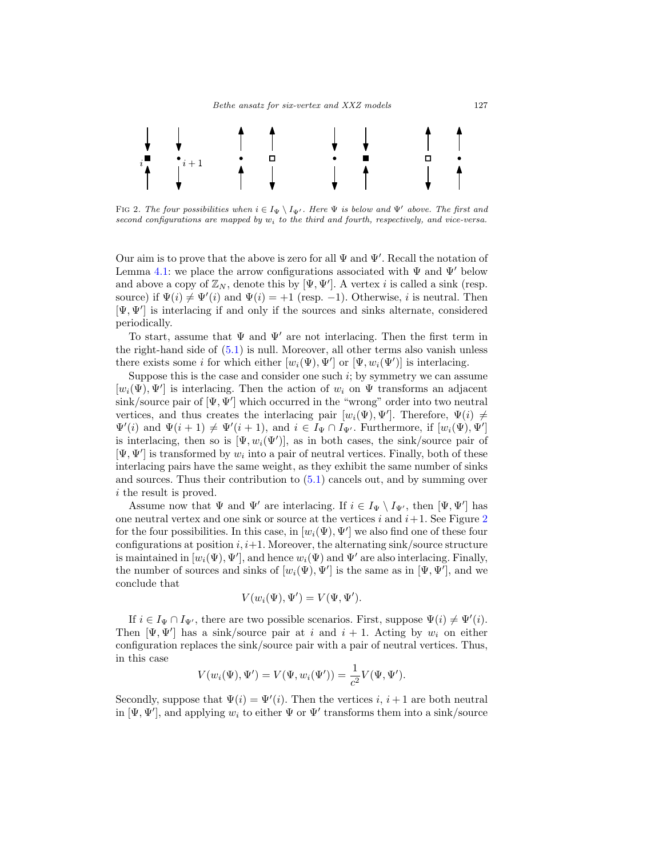

<span id="page-25-0"></span>FIG 2. The four possibilities when  $i \in I_{\Psi} \setminus I_{\Psi'}$ . Here  $\Psi$  is below and  $\Psi'$  above. The first and second configurations are mapped by  $w_i$  to the third and fourth, respectively, and vice-versa.

Our aim is to prove that the above is zero for all  $\Psi$  and  $\Psi'$ . Recall the notation of Lemma [4.1:](#page-23-0) we place the arrow configurations associated with  $\Psi$  and  $\Psi'$  below and above a copy of  $\mathbb{Z}_N$ , denote this by  $[\Psi, \Psi']$ . A vertex *i* is called a sink (resp. source) if  $\Psi(i) \neq \Psi'(i)$  and  $\Psi(i) = +1$  (resp. -1). Otherwise, *i* is neutral. Then [Ψ, Ψ ] is interlacing if and only if the sources and sinks alternate, considered periodically.

To start, assume that  $\Psi$  and  $\Psi'$  are not interlacing. Then the first term in the right-hand side of [\(5.1\)](#page-24-1) is null. Moreover, all other terms also vanish unless there exists some *i* for which either  $[w_i(\Psi), \Psi']$  or  $[\Psi, w_i(\Psi')]$  is interlacing.

Suppose this is the case and consider one such  $i$ ; by symmetry we can assume  $[w_i(\Psi), \Psi']$  is interlacing. Then the action of  $w_i$  on  $\Psi$  transforms an adjacent  $\sin k/\text{source pair of } [\Psi, \Psi']$  which occurred in the "wrong" order into two neutral vertices, and thus creates the interlacing pair  $[w_i(\Psi), \Psi']$ . Therefore,  $\Psi(i) \neq$  $\Psi'(i)$  and  $\Psi(i+1) \neq \Psi'(i+1)$ , and  $i \in I_{\Psi} \cap I_{\Psi'}$ . Furthermore, if  $[w_i(\Psi), \Psi']$ is interlacing, then so is  $[\Psi, w_i(\Psi')]$ , as in both cases, the sink/source pair of  $[\Psi, \Psi']$  is transformed by  $w_i$  into a pair of neutral vertices. Finally, both of these interlacing pairs have the same weight, as they exhibit the same number of sinks and sources. Thus their contribution to [\(5.1\)](#page-24-1) cancels out, and by summing over i the result is proved.

Assume now that  $\Psi$  and  $\Psi'$  are interlacing. If  $i \in I_{\Psi} \setminus I_{\Psi'}$ , then  $[\Psi, \Psi']$  has one neutral vertex and one sink or source at the vertices i and  $i+1$ . See Figure [2](#page-25-0) for the four possibilities. In this case, in  $[w_i(\Psi), \Psi']$  we also find one of these four configurations at position  $i, i+1$ . Moreover, the alternating sink/source structure is maintained in  $[w_i(\Psi), \Psi'],$  and hence  $w_i(\Psi)$  and  $\Psi'$  are also interlacing. Finally, the number of sources and sinks of  $[w_i(\Psi), \Psi']$  is the same as in  $[\Psi, \Psi']$ , and we conclude that

$$
V(w_i(\Psi), \Psi') = V(\Psi, \Psi').
$$

If  $i \in I_{\Psi} \cap I_{\Psi'}$ , there are two possible scenarios. First, suppose  $\Psi(i) \neq \Psi'(i)$ . Then  $[\Psi, \Psi']$  has a sink/source pair at i and  $i + 1$ . Acting by  $w_i$  on either configuration replaces the sink/source pair with a pair of neutral vertices. Thus, in this case

$$
V(w_i(\Psi), \Psi') = V(\Psi, w_i(\Psi')) = \frac{1}{c^2} V(\Psi, \Psi').
$$

Secondly, suppose that  $\Psi(i) = \Psi'(i)$ . Then the vertices i, i + 1 are both neutral in  $[\Psi, \Psi']$ , and applying  $w_i$  to either  $\Psi$  or  $\Psi'$  transforms them into a sink/source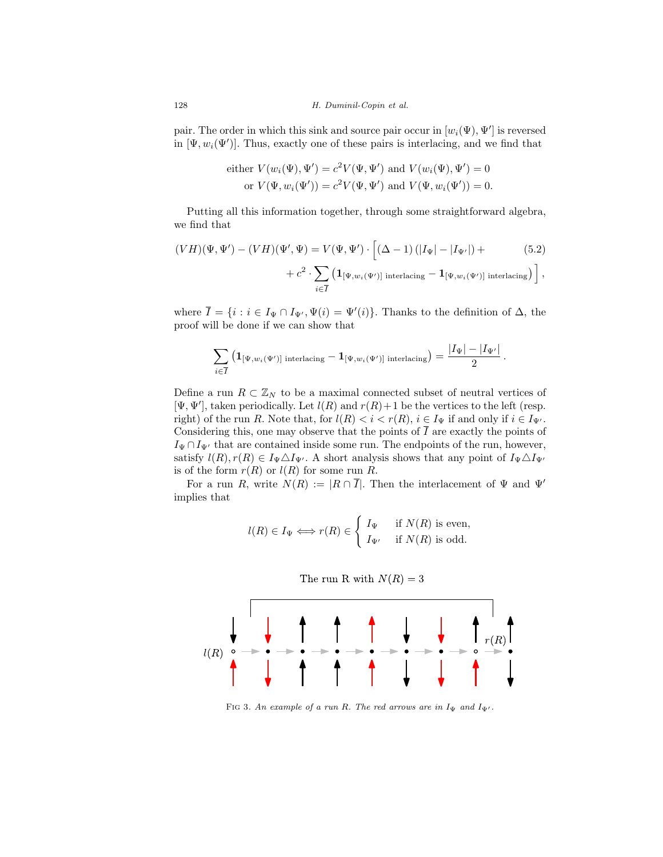pair. The order in which this sink and source pair occur in  $[w_i(\Psi), \Psi']$  is reversed in  $[\Psi, w_i(\Psi')]$ . Thus, exactly one of these pairs is interlacing, and we find that

either 
$$
V(w_i(\Psi), \Psi') = c^2 V(\Psi, \Psi')
$$
 and  $V(w_i(\Psi), \Psi') = 0$   
or  $V(\Psi, w_i(\Psi')) = c^2 V(\Psi, \Psi')$  and  $V(\Psi, w_i(\Psi')) = 0$ .

Putting all this information together, through some straightforward algebra, we find that

$$
(VH)(\Psi, \Psi') - (VH)(\Psi', \Psi) = V(\Psi, \Psi') \cdot \left[ (\Delta - 1) (|I_{\Psi}| - |I_{\Psi'}|) + (5.2) + c^2 \cdot \sum_{i \in \overline{I}} \left( \mathbf{1}_{[\Psi, w_i(\Psi')] \text{ interlacing}} - \mathbf{1}_{[\Psi, w_i(\Psi')] \text{ interlacing}} \right) \right],
$$

where  $\overline{I} = \{i : i \in I_{\Psi} \cap I_{\Psi'}, \Psi(i) = \Psi'(i)\}.$  Thanks to the definition of  $\Delta$ , the proof will be done if we can show that

$$
\sum_{i\in \overline{I}} \left(\mathbf{1}_{[\Psi,w_i(\Psi')] \text{ interlacing}} - \mathbf{1}_{[\Psi,w_i(\Psi')] \text{ interlacing}}\right) = \frac{|I_{\Psi}|-|I_{\Psi'}|}{2}\,.
$$

Define a run  $R \subset \mathbb{Z}_N$  to be a maximal connected subset of neutral vertices of  $[\Psi, \Psi']$ , taken periodically. Let  $l(R)$  and  $r(R)+1$  be the vertices to the left (resp. right) of the run R. Note that, for  $l(R) < i < r(R)$ ,  $i \in I_{\Psi}$  if and only if  $i \in I_{\Psi'}$ . Considering this, one may observe that the points of  $\overline{I}$  are exactly the points of  $I_{\Psi} \cap I_{\Psi'}$  that are contained inside some run. The endpoints of the run, however, satisfy  $l(R), r(R) \in I_{\Psi} \triangle I_{\Psi'}$ . A short analysis shows that any point of  $I_{\Psi} \triangle I_{\Psi'}$ is of the form  $r(R)$  or  $l(R)$  for some run R.

For a run R, write  $N(R) := |R \cap \overline{I}|$ . Then the interlacement of  $\Psi$  and  $\Psi'$ implies that

$$
l(R) \in I_{\Psi} \iff r(R) \in \begin{cases} I_{\Psi} & \text{if } N(R) \text{ is even,} \\ I_{\Psi'} & \text{if } N(R) \text{ is odd.} \end{cases}
$$





FIG 3. An example of a run R. The red arrows are in  $I_{\Psi}$  and  $I_{\Psi'}$ .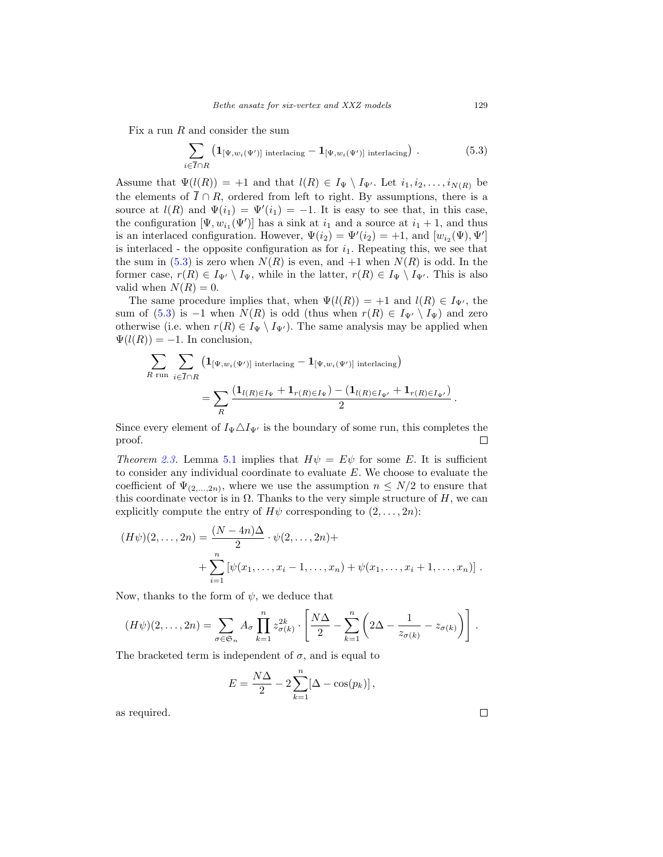Fix a run  $R$  and consider the sum

<span id="page-27-0"></span>
$$
\sum_{i \in \overline{I} \cap R} \left( \mathbf{1}_{\left[\Psi, w_i(\Psi')\right] \text{ interlacing}} - \mathbf{1}_{\left[\Psi, w_i(\Psi')\right] \text{ interlacing}} \right). \tag{5.3}
$$

Assume that  $\Psi(l(R)) = +1$  and that  $l(R) \in I_{\Psi} \setminus I_{\Psi'}$ . Let  $i_1, i_2, \ldots, i_{N(R)}$  be the elements of  $\overline{I} \cap R$ , ordered from left to right. By assumptions, there is a source at  $l(R)$  and  $\Psi(i_1) = \Psi'(i_1) = -1$ . It is easy to see that, in this case, the configuration  $[\Psi, w_{i_1}(\Psi')]$  has a sink at  $i_1$  and a source at  $i_1 + 1$ , and thus is an interlaced configuration. However,  $\Psi(i_2) = \Psi'(i_2) = +1$ , and  $[w_{i_2}(\Psi), \Psi']$ is interlaced - the opposite configuration as for  $i_1$ . Repeating this, we see that the sum in [\(5.3\)](#page-27-0) is zero when  $N(R)$  is even, and  $+1$  when  $N(R)$  is odd. In the former case,  $r(R) \in I_{\Psi'} \setminus I_{\Psi}$ , while in the latter,  $r(R) \in I_{\Psi} \setminus I_{\Psi'}$ . This is also valid when  $N(R) = 0$ .

The same procedure implies that, when  $\Psi(l(R)) = +1$  and  $l(R) \in I_{\Psi'}$ , the sum of [\(5.3\)](#page-27-0) is  $-1$  when  $N(R)$  is odd (thus when  $r(R) \in I_{\Psi'} \setminus I_{\Psi}$ ) and zero otherwise (i.e. when  $r(R) \in I_{\Psi} \setminus I_{\Psi'}$ ). The same analysis may be applied when  $\Psi(l(R)) = -1$ . In conclusion,

$$
\sum_{R \text{ run}} \sum_{i \in \overline{I} \cap R} \left( \mathbf{1}_{\left[\Psi, w_i(\Psi')\right] \text{ interlacing}} - \mathbf{1}_{\left[\Psi, w_i(\Psi')\right] \text{ interlacing}} \right)
$$
\n
$$
= \sum_{R} \frac{\left( \mathbf{1}_{l(R) \in I_{\Psi}} + \mathbf{1}_{r(R) \in I_{\Psi'}} \right) - \left( \mathbf{1}_{l(R) \in I_{\Psi'}} + \mathbf{1}_{r(R) \in I_{\Psi'}} \right)}{2}.
$$

Since every element of  $I_{\Psi} \triangle I_{\Psi'}$  is the boundary of some run, this completes the proof.  $\Box$ 

Theorem [2.3.](#page-7-1) Lemma [5.1](#page-24-2) implies that  $H\psi = E\psi$  for some E. It is sufficient to consider any individual coordinate to evaluate E. We choose to evaluate the coefficient of  $\Psi_{(2,...,2n)}$ , where we use the assumption  $n \leq N/2$  to ensure that this coordinate vector is in  $\Omega$ . Thanks to the very simple structure of H, we can explicitly compute the entry of  $H\psi$  corresponding to  $(2,\ldots,2n)$ :

$$
(H\psi)(2,\ldots,2n) = \frac{(N-4n)\Delta}{2} \cdot \psi(2,\ldots,2n) + + \sum_{i=1}^{n} [\psi(x_1,\ldots,x_i-1,\ldots,x_n) + \psi(x_1,\ldots,x_i+1,\ldots,x_n)] .
$$

Now, thanks to the form of  $\psi$ , we deduce that

$$
(H\psi)(2,\ldots,2n)=\sum_{\sigma\in\mathfrak{S}_n}A_{\sigma}\prod_{k=1}^nz_{\sigma(k)}^{2k}\cdot\left[\frac{N\Delta}{2}-\sum_{k=1}^n\left(2\Delta-\frac{1}{z_{\sigma(k)}}-z_{\sigma(k)}\right)\right].
$$

The bracketed term is independent of  $\sigma$ , and is equal to

$$
E = \frac{N\Delta}{2} - 2\sum_{k=1}^{n} [\Delta - \cos(p_k)],
$$

as required.

 $\Box$